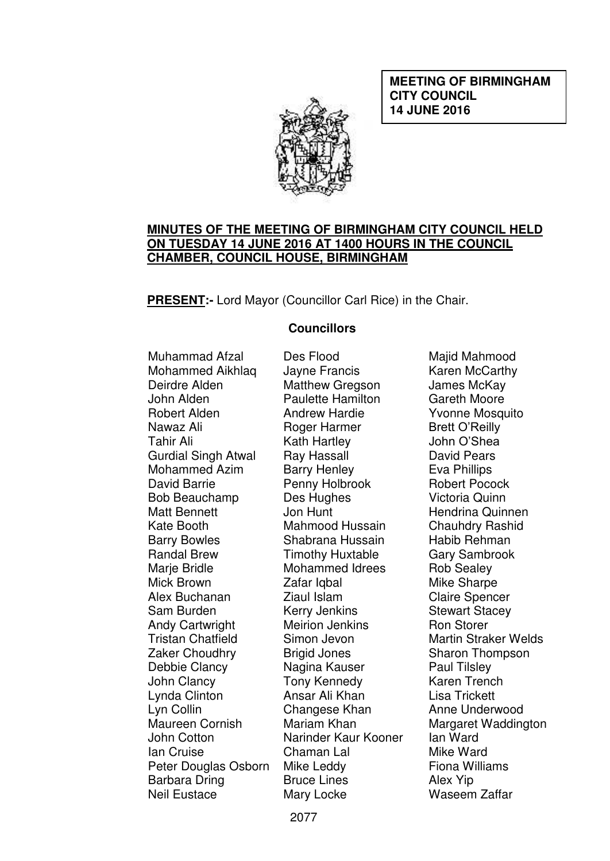**MEETING OF BIRMINGHAM CITY COUNCIL 14 JUNE 2016** 



### **MINUTES OF THE MEETING OF BIRMINGHAM CITY COUNCIL HELD ON TUESDAY 14 JUNE 2016 AT 1400 HOURS IN THE COUNCIL CHAMBER, COUNCIL HOUSE, BIRMINGHAM**

**PRESENT:-** Lord Mayor (Councillor Carl Rice) in the Chair.

### **Councillors**

Muhammad Afzal Mohammed Aikhlaq Deirdre Alden John Alden Robert Alden Nawaz Ali Tahir Ali Gurdial Singh Atwal Mohammed Azim David Barrie Bob Beauchamp Matt Bennett Kate Booth Barry Bowles Randal Brew Marie Bridle Mick Brown Alex Buchanan Sam Burden Andy Cartwright Tristan Chatfield Zaker Choudhry Debbie Clancy John Clancy Lynda Clinton Lyn Collin Maureen Cornish John Cotton Ian Cruise Peter Douglas Osborn Barbara Dring Neil Eustace

Des Flood Jayne Francis Matthew Gregson Paulette Hamilton Andrew Hardie Roger Harmer Kath Hartley Ray Hassall Barry Henley Penny Holbrook Des Hughes Jon Hunt Mahmood Hussain Shabrana Hussain Timothy Huxtable Mohammed Idrees Zafar Igbal Ziaul Islam Kerry Jenkins Meirion Jenkins Simon Jevon Brigid Jones Nagina Kauser Tony Kennedy Ansar Ali Khan Changese Khan Mariam Khan Narinder Kaur Kooner Chaman Lal Mike Leddy Bruce Lines Mary Locke

Majid Mahmood Karen McCarthy James McKay Gareth Moore Yvonne Mosquito Brett O'Reilly John O'Shea David Pears Eva Phillips Robert Pocock Victoria Quinn Hendrina Quinnen Chauhdry Rashid Habib Rehman Gary Sambrook Rob Sealey Mike Sharpe Claire Spencer Stewart Stacey Ron Storer Martin Straker Welds Sharon Thompson Paul Tilsley Karen Trench Lisa Trickett Anne Underwood Margaret Waddington Ian Ward Mike Ward Fiona Williams Alex Yip Waseem Zaffar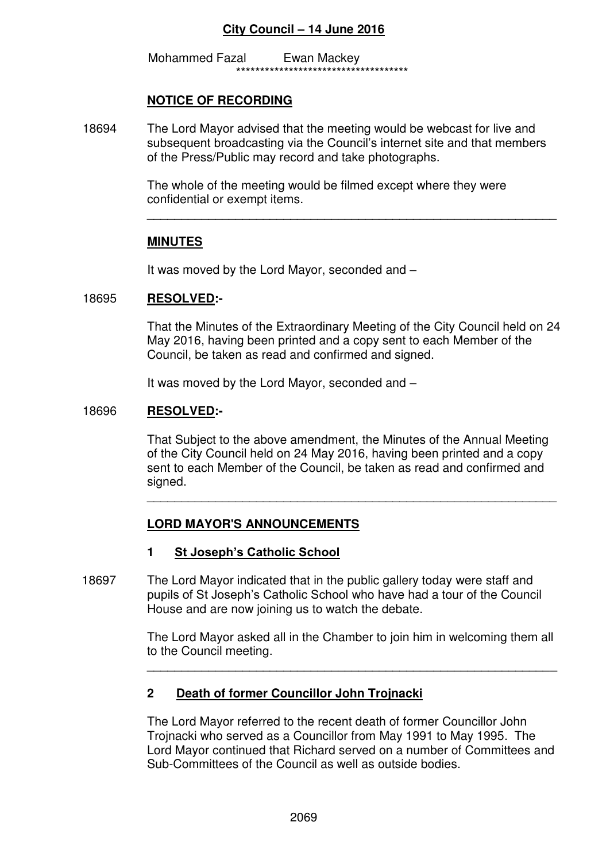Mohammed Fazal Ewan Mackey \*\*\*\*\*\*\*\*\*\*\*\*\*\*\*\*\*\*\*\*\*\*\*\*\*\*\*\*\*\*\*\*\*\*\*\*

### **NOTICE OF RECORDING**

18694 The Lord Mayor advised that the meeting would be webcast for live and subsequent broadcasting via the Council's internet site and that members of the Press/Public may record and take photographs.

> The whole of the meeting would be filmed except where they were confidential or exempt items.

 $\overline{\phantom{a}}$  ,  $\overline{\phantom{a}}$  ,  $\overline{\phantom{a}}$  ,  $\overline{\phantom{a}}$  ,  $\overline{\phantom{a}}$  ,  $\overline{\phantom{a}}$  ,  $\overline{\phantom{a}}$  ,  $\overline{\phantom{a}}$  ,  $\overline{\phantom{a}}$  ,  $\overline{\phantom{a}}$  ,  $\overline{\phantom{a}}$  ,  $\overline{\phantom{a}}$  ,  $\overline{\phantom{a}}$  ,  $\overline{\phantom{a}}$  ,  $\overline{\phantom{a}}$  ,  $\overline{\phantom{a}}$ 

### **MINUTES**

It was moved by the Lord Mayor, seconded and –

#### 18695 **RESOLVED:-**

That the Minutes of the Extraordinary Meeting of the City Council held on 24 May 2016, having been printed and a copy sent to each Member of the Council, be taken as read and confirmed and signed.

It was moved by the Lord Mayor, seconded and –

#### 18696 **RESOLVED:-**

That Subject to the above amendment, the Minutes of the Annual Meeting of the City Council held on 24 May 2016, having been printed and a copy sent to each Member of the Council, be taken as read and confirmed and signed.

### **LORD MAYOR'S ANNOUNCEMENTS**

#### **1 St Joseph's Catholic School**

18697 The Lord Mayor indicated that in the public gallery today were staff and pupils of St Joseph's Catholic School who have had a tour of the Council House and are now joining us to watch the debate.

 $\overline{\phantom{a}}$  ,  $\overline{\phantom{a}}$  ,  $\overline{\phantom{a}}$  ,  $\overline{\phantom{a}}$  ,  $\overline{\phantom{a}}$  ,  $\overline{\phantom{a}}$  ,  $\overline{\phantom{a}}$  ,  $\overline{\phantom{a}}$  ,  $\overline{\phantom{a}}$  ,  $\overline{\phantom{a}}$  ,  $\overline{\phantom{a}}$  ,  $\overline{\phantom{a}}$  ,  $\overline{\phantom{a}}$  ,  $\overline{\phantom{a}}$  ,  $\overline{\phantom{a}}$  ,  $\overline{\phantom{a}}$ 

 The Lord Mayor asked all in the Chamber to join him in welcoming them all to the Council meeting.

### **2 Death of former Councillor John Trojnacki**

 $\overline{\phantom{a}}$  ,  $\overline{\phantom{a}}$  ,  $\overline{\phantom{a}}$  ,  $\overline{\phantom{a}}$  ,  $\overline{\phantom{a}}$  ,  $\overline{\phantom{a}}$  ,  $\overline{\phantom{a}}$  ,  $\overline{\phantom{a}}$  ,  $\overline{\phantom{a}}$  ,  $\overline{\phantom{a}}$  ,  $\overline{\phantom{a}}$  ,  $\overline{\phantom{a}}$  ,  $\overline{\phantom{a}}$  ,  $\overline{\phantom{a}}$  ,  $\overline{\phantom{a}}$  ,  $\overline{\phantom{a}}$ 

The Lord Mayor referred to the recent death of former Councillor John Trojnacki who served as a Councillor from May 1991 to May 1995. The Lord Mayor continued that Richard served on a number of Committees and Sub-Committees of the Council as well as outside bodies.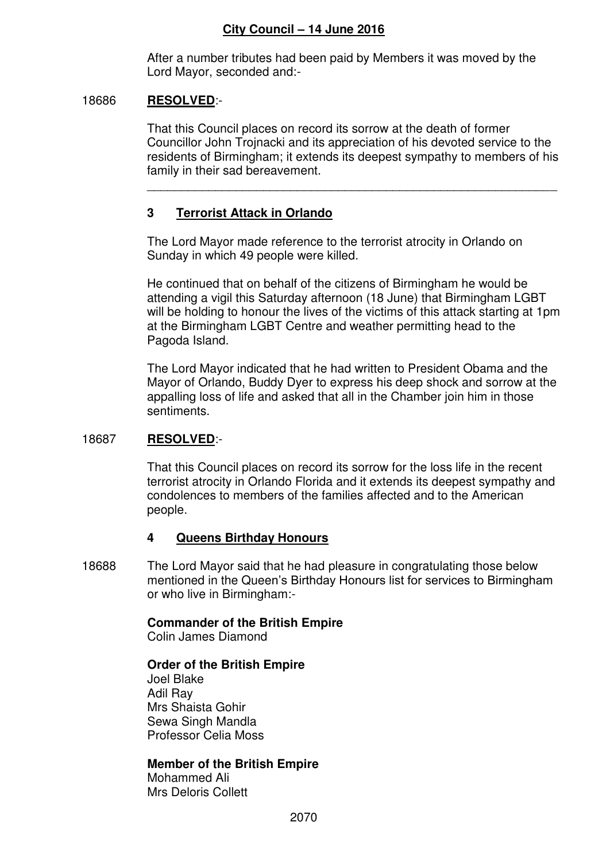\_\_\_\_\_\_\_\_\_\_\_\_\_\_\_\_\_\_\_\_\_\_\_\_\_\_\_\_\_\_\_\_\_\_\_\_\_\_\_\_\_\_\_\_\_\_\_\_\_\_\_\_\_\_\_\_\_\_\_\_

After a number tributes had been paid by Members it was moved by the Lord Mayor, seconded and:-

### 18686 **RESOLVED**:-

 That this Council places on record its sorrow at the death of former Councillor John Trojnacki and its appreciation of his devoted service to the residents of Birmingham; it extends its deepest sympathy to members of his family in their sad bereavement.

# **3 Terrorist Attack in Orlando**

The Lord Mayor made reference to the terrorist atrocity in Orlando on Sunday in which 49 people were killed.

He continued that on behalf of the citizens of Birmingham he would be attending a vigil this Saturday afternoon (18 June) that Birmingham LGBT will be holding to honour the lives of the victims of this attack starting at 1pm at the Birmingham LGBT Centre and weather permitting head to the Pagoda Island.

The Lord Mayor indicated that he had written to President Obama and the Mayor of Orlando, Buddy Dyer to express his deep shock and sorrow at the appalling loss of life and asked that all in the Chamber join him in those sentiments.

# 18687 **RESOLVED**:-

That this Council places on record its sorrow for the loss life in the recent terrorist atrocity in Orlando Florida and it extends its deepest sympathy and condolences to members of the families affected and to the American people.

# **4 Queens Birthday Honours**

18688 The Lord Mayor said that he had pleasure in congratulating those below mentioned in the Queen's Birthday Honours list for services to Birmingham or who live in Birmingham:-

# **Commander of the British Empire**

Colin James Diamond

# **Order of the British Empire**

 Joel Blake Adil Ray Mrs Shaista Gohir Sewa Singh Mandla Professor Celia Moss

# **Member of the British Empire**

 Mohammed Ali Mrs Deloris Collett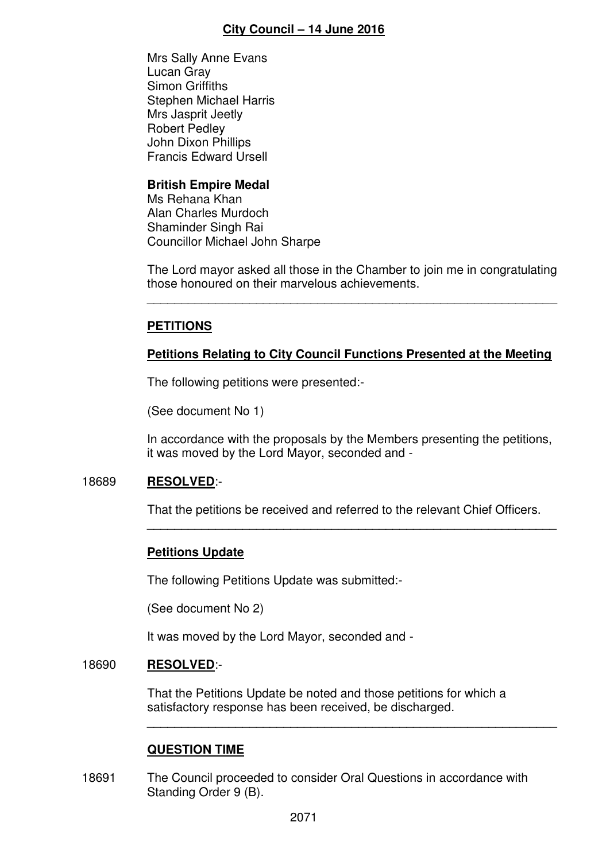Mrs Sally Anne Evans Lucan Gray Simon Griffiths Stephen Michael Harris Mrs Jasprit Jeetly Robert Pedley John Dixon Phillips Francis Edward Ursell

### **British Empire Medal**

 Ms Rehana Khan Alan Charles Murdoch Shaminder Singh Rai Councillor Michael John Sharpe

The Lord mayor asked all those in the Chamber to join me in congratulating those honoured on their marvelous achievements.

 $\overline{\phantom{a}}$  ,  $\overline{\phantom{a}}$  ,  $\overline{\phantom{a}}$  ,  $\overline{\phantom{a}}$  ,  $\overline{\phantom{a}}$  ,  $\overline{\phantom{a}}$  ,  $\overline{\phantom{a}}$  ,  $\overline{\phantom{a}}$  ,  $\overline{\phantom{a}}$  ,  $\overline{\phantom{a}}$  ,  $\overline{\phantom{a}}$  ,  $\overline{\phantom{a}}$  ,  $\overline{\phantom{a}}$  ,  $\overline{\phantom{a}}$  ,  $\overline{\phantom{a}}$  ,  $\overline{\phantom{a}}$ 

# **PETITIONS**

# **Petitions Relating to City Council Functions Presented at the Meeting**

The following petitions were presented:-

(See document No 1)

In accordance with the proposals by the Members presenting the petitions, it was moved by the Lord Mayor, seconded and -

# 18689 **RESOLVED**:-

That the petitions be received and referred to the relevant Chief Officers.

 $\overline{\phantom{a}}$  ,  $\overline{\phantom{a}}$  ,  $\overline{\phantom{a}}$  ,  $\overline{\phantom{a}}$  ,  $\overline{\phantom{a}}$  ,  $\overline{\phantom{a}}$  ,  $\overline{\phantom{a}}$  ,  $\overline{\phantom{a}}$  ,  $\overline{\phantom{a}}$  ,  $\overline{\phantom{a}}$  ,  $\overline{\phantom{a}}$  ,  $\overline{\phantom{a}}$  ,  $\overline{\phantom{a}}$  ,  $\overline{\phantom{a}}$  ,  $\overline{\phantom{a}}$  ,  $\overline{\phantom{a}}$ 

# **Petitions Update**

The following Petitions Update was submitted:-

(See document No 2)

It was moved by the Lord Mayor, seconded and -

### 18690 **RESOLVED**:-

 That the Petitions Update be noted and those petitions for which a satisfactory response has been received, be discharged.

# **QUESTION TIME**

18691 The Council proceeded to consider Oral Questions in accordance with Standing Order 9 (B).

 $\overline{\phantom{a}}$  ,  $\overline{\phantom{a}}$  ,  $\overline{\phantom{a}}$  ,  $\overline{\phantom{a}}$  ,  $\overline{\phantom{a}}$  ,  $\overline{\phantom{a}}$  ,  $\overline{\phantom{a}}$  ,  $\overline{\phantom{a}}$  ,  $\overline{\phantom{a}}$  ,  $\overline{\phantom{a}}$  ,  $\overline{\phantom{a}}$  ,  $\overline{\phantom{a}}$  ,  $\overline{\phantom{a}}$  ,  $\overline{\phantom{a}}$  ,  $\overline{\phantom{a}}$  ,  $\overline{\phantom{a}}$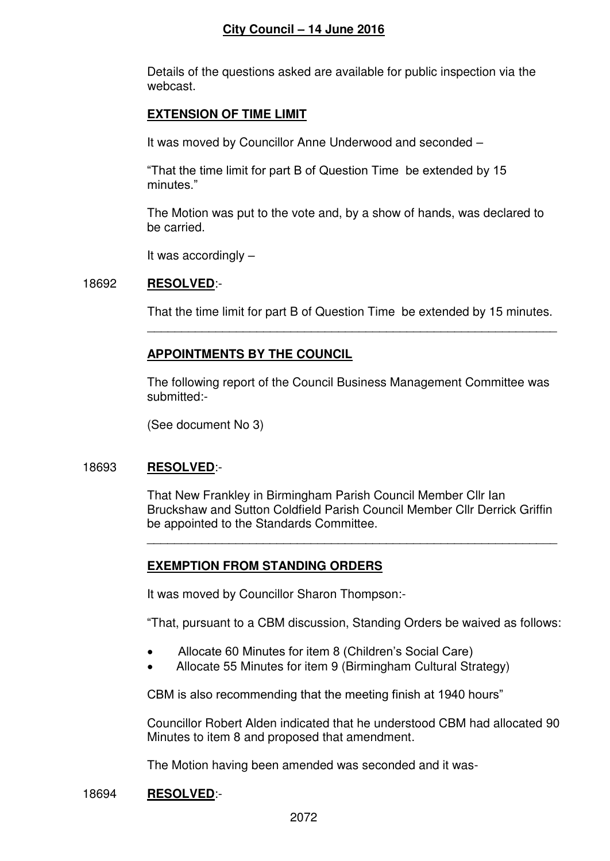Details of the questions asked are available for public inspection via the webcast.

### **EXTENSION OF TIME LIMIT**

It was moved by Councillor Anne Underwood and seconded –

"That the time limit for part B of Question Time be extended by 15 minutes."

 The Motion was put to the vote and, by a show of hands, was declared to be carried.

It was accordingly –

### 18692 **RESOLVED**:-

That the time limit for part B of Question Time be extended by 15 minutes.

# **APPOINTMENTS BY THE COUNCIL**

\_\_\_\_\_\_\_\_\_\_\_\_\_\_\_\_\_\_\_\_\_\_\_\_\_\_\_\_\_\_\_\_\_\_\_\_\_\_\_\_\_\_\_\_\_\_\_\_\_\_\_\_\_\_\_\_\_\_\_\_

 The following report of the Council Business Management Committee was submitted:-

(See document No 3)

# 18693 **RESOLVED**:-

 That New Frankley in Birmingham Parish Council Member Cllr Ian Bruckshaw and Sutton Coldfield Parish Council Member Cllr Derrick Griffin be appointed to the Standards Committee.

# **EXEMPTION FROM STANDING ORDERS**

It was moved by Councillor Sharon Thompson:-

"That, pursuant to a CBM discussion, Standing Orders be waived as follows:

Allocate 60 Minutes for item 8 (Children's Social Care)

 $\overline{\phantom{a}}$  ,  $\overline{\phantom{a}}$  ,  $\overline{\phantom{a}}$  ,  $\overline{\phantom{a}}$  ,  $\overline{\phantom{a}}$  ,  $\overline{\phantom{a}}$  ,  $\overline{\phantom{a}}$  ,  $\overline{\phantom{a}}$  ,  $\overline{\phantom{a}}$  ,  $\overline{\phantom{a}}$  ,  $\overline{\phantom{a}}$  ,  $\overline{\phantom{a}}$  ,  $\overline{\phantom{a}}$  ,  $\overline{\phantom{a}}$  ,  $\overline{\phantom{a}}$  ,  $\overline{\phantom{a}}$ 

Allocate 55 Minutes for item 9 (Birmingham Cultural Strategy)

CBM is also recommending that the meeting finish at 1940 hours"

 Councillor Robert Alden indicated that he understood CBM had allocated 90 Minutes to item 8 and proposed that amendment.

The Motion having been amended was seconded and it was-

### 18694 **RESOLVED**:-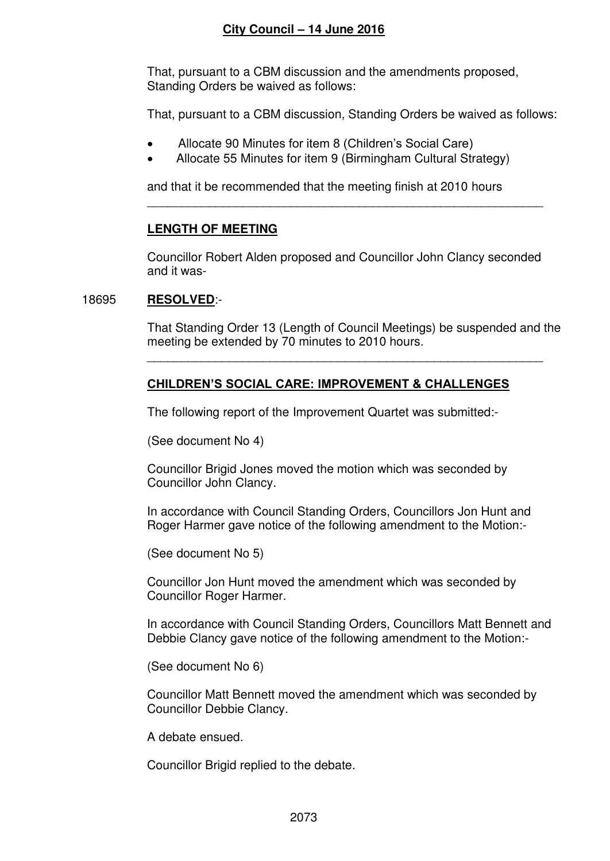That, pursuant to a CBM discussion and the amendments proposed, Standing Orders be waived as follows:

That, pursuant to a CBM discussion, Standing Orders be waived as follows:

- Allocate 90 Minutes for item 8 (Children's Social Care)
- Allocate 55 Minutes for item 9 (Birmingham Cultural Strategy)

and that it be recommended that the meeting finish at 2010 hours

# **LENGTH OF MEETING**

 Councillor Robert Alden proposed and Councillor John Clancy seconded and it was-

\_\_\_\_\_\_\_\_\_\_\_\_\_\_\_\_\_\_\_\_\_\_\_\_\_\_\_\_\_\_\_\_\_\_\_\_\_\_\_\_\_\_\_\_\_\_\_\_\_\_\_\_\_\_\_\_\_\_

### 18695 **RESOLVED**:-

 That Standing Order 13 (Length of Council Meetings) be suspended and the meeting be extended by 70 minutes to 2010 hours.

# **CHILDREN'S SOCIAL CARE: IMPROVEMENT & CHALLENGES**

The following report of the Improvement Quartet was submitted:-

 $\overline{\phantom{a}}$  ,  $\overline{\phantom{a}}$  ,  $\overline{\phantom{a}}$  ,  $\overline{\phantom{a}}$  ,  $\overline{\phantom{a}}$  ,  $\overline{\phantom{a}}$  ,  $\overline{\phantom{a}}$  ,  $\overline{\phantom{a}}$  ,  $\overline{\phantom{a}}$  ,  $\overline{\phantom{a}}$  ,  $\overline{\phantom{a}}$  ,  $\overline{\phantom{a}}$  ,  $\overline{\phantom{a}}$  ,  $\overline{\phantom{a}}$  ,  $\overline{\phantom{a}}$  ,  $\overline{\phantom{a}}$ 

(See document No 4)

Councillor Brigid Jones moved the motion which was seconded by Councillor John Clancy.

In accordance with Council Standing Orders, Councillors Jon Hunt and Roger Harmer gave notice of the following amendment to the Motion:-

(See document No 5)

Councillor Jon Hunt moved the amendment which was seconded by Councillor Roger Harmer.

In accordance with Council Standing Orders, Councillors Matt Bennett and Debbie Clancy gave notice of the following amendment to the Motion:-

(See document No 6)

Councillor Matt Bennett moved the amendment which was seconded by Councillor Debbie Clancy.

A debate ensued.

Councillor Brigid replied to the debate.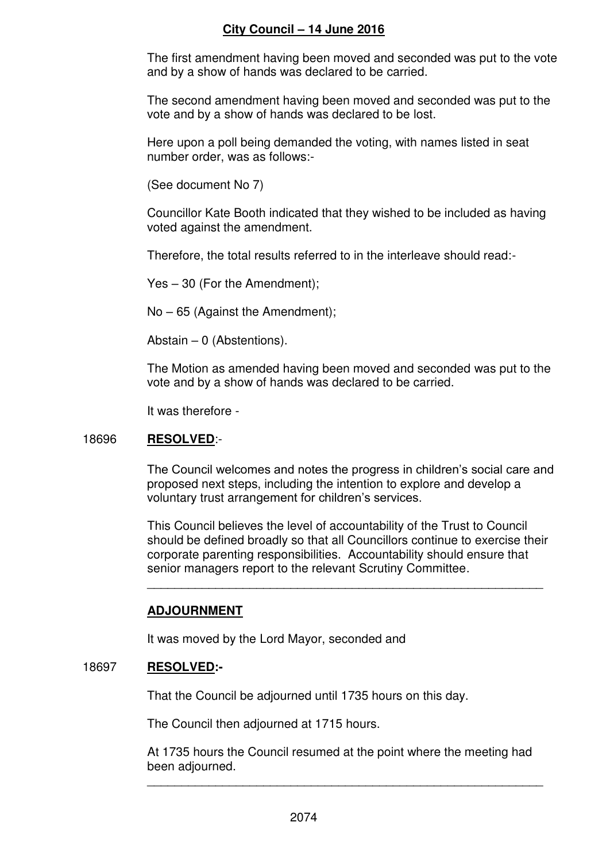The first amendment having been moved and seconded was put to the vote and by a show of hands was declared to be carried.

The second amendment having been moved and seconded was put to the vote and by a show of hands was declared to be lost.

Here upon a poll being demanded the voting, with names listed in seat number order, was as follows:-

(See document No 7)

Councillor Kate Booth indicated that they wished to be included as having voted against the amendment.

Therefore, the total results referred to in the interleave should read:-

Yes – 30 (For the Amendment);

No – 65 (Against the Amendment);

Abstain – 0 (Abstentions).

The Motion as amended having been moved and seconded was put to the vote and by a show of hands was declared to be carried.

It was therefore -

### 18696 **RESOLVED**:-

The Council welcomes and notes the progress in children's social care and proposed next steps, including the intention to explore and develop a voluntary trust arrangement for children's services.

 This Council believes the level of accountability of the Trust to Council should be defined broadly so that all Councillors continue to exercise their corporate parenting responsibilities. Accountability should ensure that senior managers report to the relevant Scrutiny Committee.

### **ADJOURNMENT**

It was moved by the Lord Mayor, seconded and

 $\frac{1}{2}$  ,  $\frac{1}{2}$  ,  $\frac{1}{2}$  ,  $\frac{1}{2}$  ,  $\frac{1}{2}$  ,  $\frac{1}{2}$  ,  $\frac{1}{2}$  ,  $\frac{1}{2}$  ,  $\frac{1}{2}$  ,  $\frac{1}{2}$  ,  $\frac{1}{2}$  ,  $\frac{1}{2}$  ,  $\frac{1}{2}$  ,  $\frac{1}{2}$  ,  $\frac{1}{2}$  ,  $\frac{1}{2}$  ,  $\frac{1}{2}$  ,  $\frac{1}{2}$  ,  $\frac{1$ 

### 18697 **RESOLVED:-**

That the Council be adjourned until 1735 hours on this day.

The Council then adjourned at 1715 hours.

 At 1735 hours the Council resumed at the point where the meeting had been adjourned.

 $\overline{\phantom{a}}$  ,  $\overline{\phantom{a}}$  ,  $\overline{\phantom{a}}$  ,  $\overline{\phantom{a}}$  ,  $\overline{\phantom{a}}$  ,  $\overline{\phantom{a}}$  ,  $\overline{\phantom{a}}$  ,  $\overline{\phantom{a}}$  ,  $\overline{\phantom{a}}$  ,  $\overline{\phantom{a}}$  ,  $\overline{\phantom{a}}$  ,  $\overline{\phantom{a}}$  ,  $\overline{\phantom{a}}$  ,  $\overline{\phantom{a}}$  ,  $\overline{\phantom{a}}$  ,  $\overline{\phantom{a}}$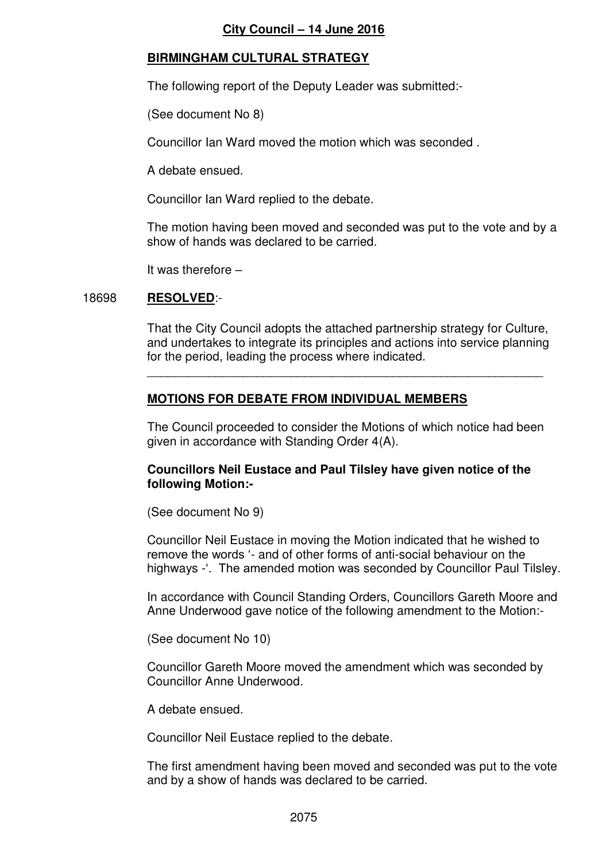# **BIRMINGHAM CULTURAL STRATEGY**

The following report of the Deputy Leader was submitted:-

(See document No 8)

Councillor Ian Ward moved the motion which was seconded .

A debate ensued.

Councillor Ian Ward replied to the debate.

 The motion having been moved and seconded was put to the vote and by a show of hands was declared to be carried.

It was therefore –

### 18698 **RESOLVED**:-

That the City Council adopts the attached partnership strategy for Culture, and undertakes to integrate its principles and actions into service planning for the period, leading the process where indicated.

# **MOTIONS FOR DEBATE FROM INDIVIDUAL MEMBERS**

 $\overline{\phantom{a}}$  ,  $\overline{\phantom{a}}$  ,  $\overline{\phantom{a}}$  ,  $\overline{\phantom{a}}$  ,  $\overline{\phantom{a}}$  ,  $\overline{\phantom{a}}$  ,  $\overline{\phantom{a}}$  ,  $\overline{\phantom{a}}$  ,  $\overline{\phantom{a}}$  ,  $\overline{\phantom{a}}$  ,  $\overline{\phantom{a}}$  ,  $\overline{\phantom{a}}$  ,  $\overline{\phantom{a}}$  ,  $\overline{\phantom{a}}$  ,  $\overline{\phantom{a}}$  ,  $\overline{\phantom{a}}$ 

The Council proceeded to consider the Motions of which notice had been given in accordance with Standing Order 4(A).

### **Councillors Neil Eustace and Paul Tilsley have given notice of the following Motion:-**

(See document No 9)

 Councillor Neil Eustace in moving the Motion indicated that he wished to remove the words '- and of other forms of anti-social behaviour on the highways -'. The amended motion was seconded by Councillor Paul Tilsley.

In accordance with Council Standing Orders, Councillors Gareth Moore and Anne Underwood gave notice of the following amendment to the Motion:-

(See document No 10)

Councillor Gareth Moore moved the amendment which was seconded by Councillor Anne Underwood.

A debate ensued.

Councillor Neil Eustace replied to the debate.

The first amendment having been moved and seconded was put to the vote and by a show of hands was declared to be carried.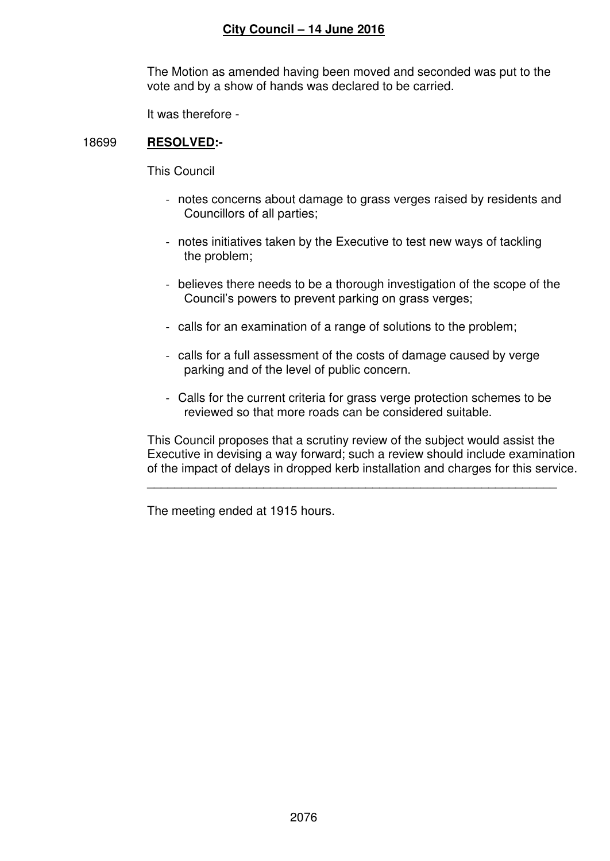The Motion as amended having been moved and seconded was put to the vote and by a show of hands was declared to be carried.

It was therefore -

### 18699 **RESOLVED:-**

This Council

- notes concerns about damage to grass verges raised by residents and Councillors of all parties;
- notes initiatives taken by the Executive to test new ways of tackling the problem;
- believes there needs to be a thorough investigation of the scope of the Council's powers to prevent parking on grass verges;
- calls for an examination of a range of solutions to the problem;
- calls for a full assessment of the costs of damage caused by verge parking and of the level of public concern.
- Calls for the current criteria for grass verge protection schemes to be reviewed so that more roads can be considered suitable.

This Council proposes that a scrutiny review of the subject would assist the Executive in devising a way forward; such a review should include examination of the impact of delays in dropped kerb installation and charges for this service.

The meeting ended at 1915 hours.

 $\overline{\phantom{a}}$  ,  $\overline{\phantom{a}}$  ,  $\overline{\phantom{a}}$  ,  $\overline{\phantom{a}}$  ,  $\overline{\phantom{a}}$  ,  $\overline{\phantom{a}}$  ,  $\overline{\phantom{a}}$  ,  $\overline{\phantom{a}}$  ,  $\overline{\phantom{a}}$  ,  $\overline{\phantom{a}}$  ,  $\overline{\phantom{a}}$  ,  $\overline{\phantom{a}}$  ,  $\overline{\phantom{a}}$  ,  $\overline{\phantom{a}}$  ,  $\overline{\phantom{a}}$  ,  $\overline{\phantom{a}}$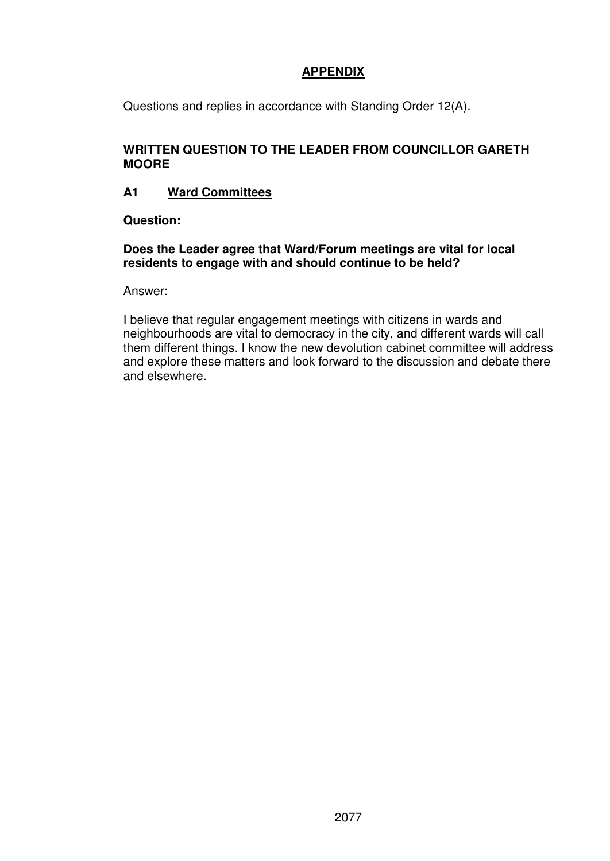# **APPENDIX**

Questions and replies in accordance with Standing Order 12(A).

## **WRITTEN QUESTION TO THE LEADER FROM COUNCILLOR GARETH MOORE**

# **A1 Ward Committees**

**Question:** 

### **Does the Leader agree that Ward/Forum meetings are vital for local residents to engage with and should continue to be held?**

Answer:

I believe that regular engagement meetings with citizens in wards and neighbourhoods are vital to democracy in the city, and different wards will call them different things. I know the new devolution cabinet committee will address and explore these matters and look forward to the discussion and debate there and elsewhere.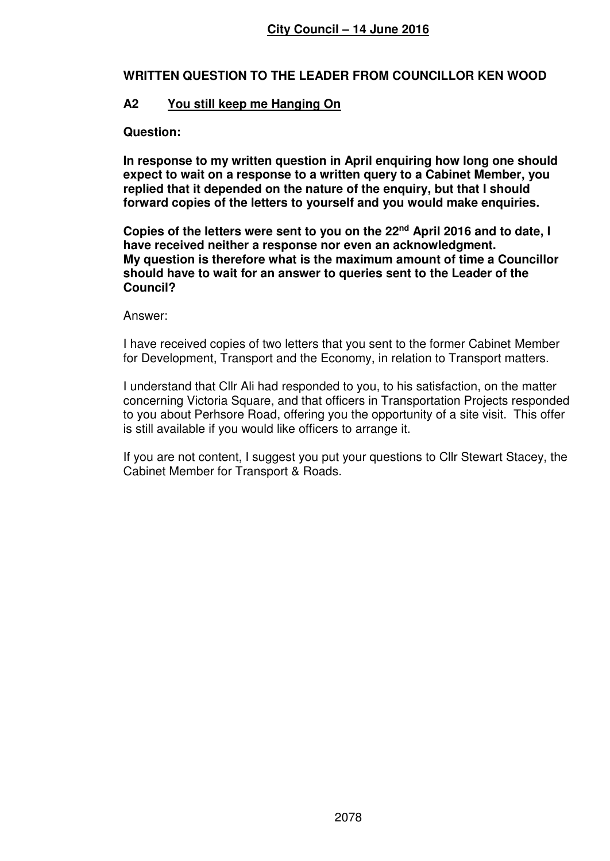### **WRITTEN QUESTION TO THE LEADER FROM COUNCILLOR KEN WOOD**

# **A2 You still keep me Hanging On**

### **Question:**

**In response to my written question in April enquiring how long one should expect to wait on a response to a written query to a Cabinet Member, you replied that it depended on the nature of the enquiry, but that I should forward copies of the letters to yourself and you would make enquiries.** 

**Copies of the letters were sent to you on the 22nd April 2016 and to date, I have received neither a response nor even an acknowledgment. My question is therefore what is the maximum amount of time a Councillor should have to wait for an answer to queries sent to the Leader of the Council?** 

### Answer:

I have received copies of two letters that you sent to the former Cabinet Member for Development, Transport and the Economy, in relation to Transport matters.

I understand that Cllr Ali had responded to you, to his satisfaction, on the matter concerning Victoria Square, and that officers in Transportation Projects responded to you about Perhsore Road, offering you the opportunity of a site visit. This offer is still available if you would like officers to arrange it.

If you are not content, I suggest you put your questions to Cllr Stewart Stacey, the Cabinet Member for Transport & Roads.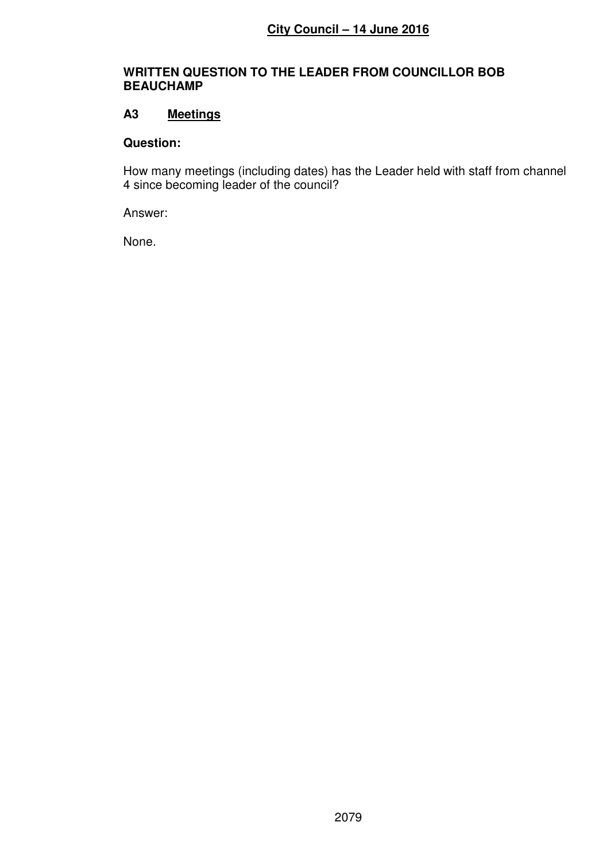### **WRITTEN QUESTION TO THE LEADER FROM COUNCILLOR BOB BEAUCHAMP**

# **A3 Meetings**

### **Question:**

How many meetings (including dates) has the Leader held with staff from channel 4 since becoming leader of the council?

Answer:

None.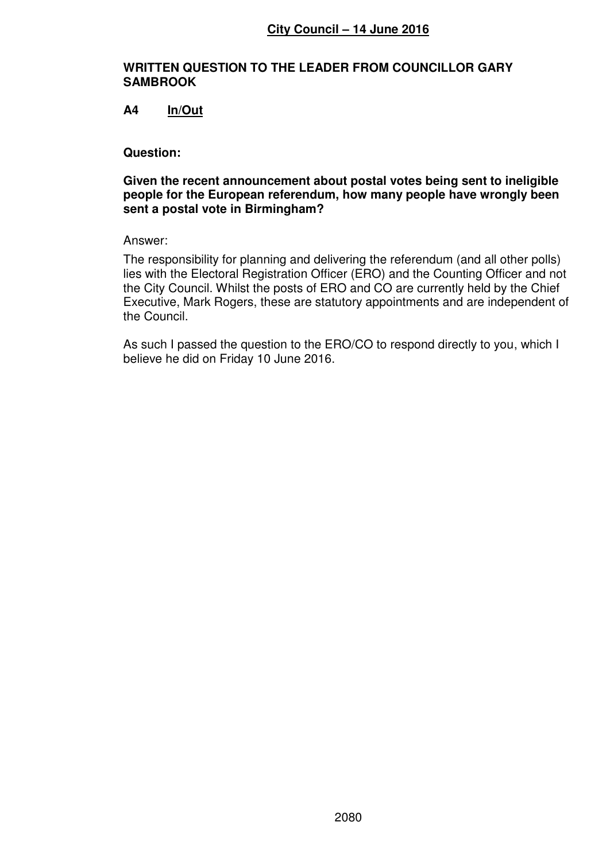### **WRITTEN QUESTION TO THE LEADER FROM COUNCILLOR GARY SAMBROOK**

### **A4 In/Out**

#### **Question:**

#### **Given the recent announcement about postal votes being sent to ineligible people for the European referendum, how many people have wrongly been sent a postal vote in Birmingham?**

#### Answer:

The responsibility for planning and delivering the referendum (and all other polls) lies with the Electoral Registration Officer (ERO) and the Counting Officer and not the City Council. Whilst the posts of ERO and CO are currently held by the Chief Executive, Mark Rogers, these are statutory appointments and are independent of the Council.

As such I passed the question to the ERO/CO to respond directly to you, which I believe he did on Friday 10 June 2016.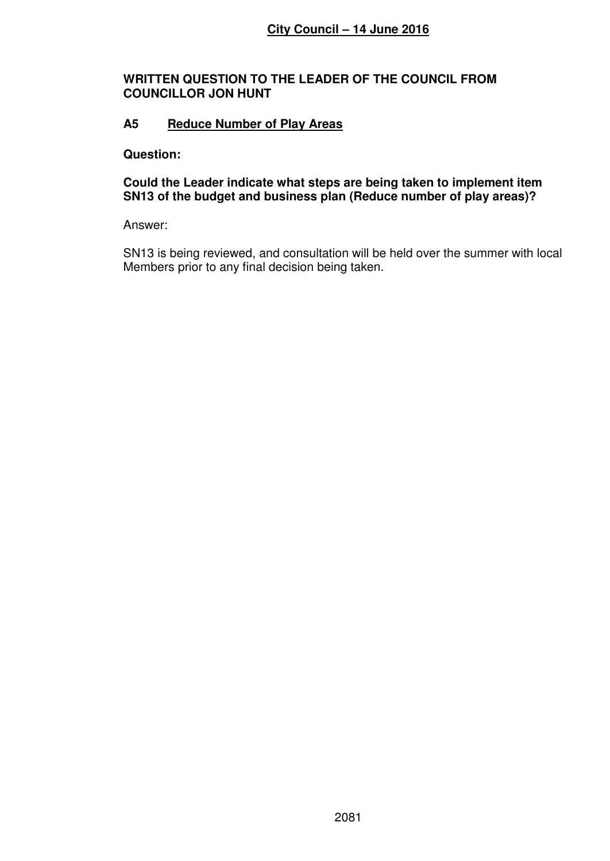### **WRITTEN QUESTION TO THE LEADER OF THE COUNCIL FROM COUNCILLOR JON HUNT**

# **A5 Reduce Number of Play Areas**

### **Question:**

**Could the Leader indicate what steps are being taken to implement item SN13 of the budget and business plan (Reduce number of play areas)?** 

Answer:

SN13 is being reviewed, and consultation will be held over the summer with local Members prior to any final decision being taken.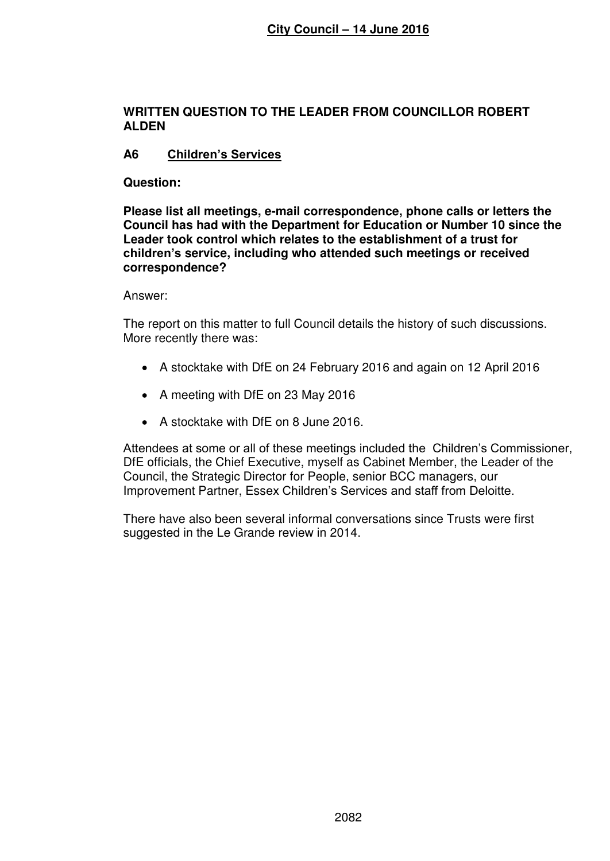### **WRITTEN QUESTION TO THE LEADER FROM COUNCILLOR ROBERT ALDEN**

# **A6 Children's Services**

### **Question:**

**Please list all meetings, e-mail correspondence, phone calls or letters the Council has had with the Department for Education or Number 10 since the Leader took control which relates to the establishment of a trust for children's service, including who attended such meetings or received correspondence?** 

Answer:

The report on this matter to full Council details the history of such discussions. More recently there was:

- A stocktake with DfE on 24 February 2016 and again on 12 April 2016
- A meeting with DfE on 23 May 2016
- A stocktake with DfE on 8 June 2016.

Attendees at some or all of these meetings included the Children's Commissioner, DfE officials, the Chief Executive, myself as Cabinet Member, the Leader of the Council, the Strategic Director for People, senior BCC managers, our Improvement Partner, Essex Children's Services and staff from Deloitte.

There have also been several informal conversations since Trusts were first suggested in the Le Grande review in 2014.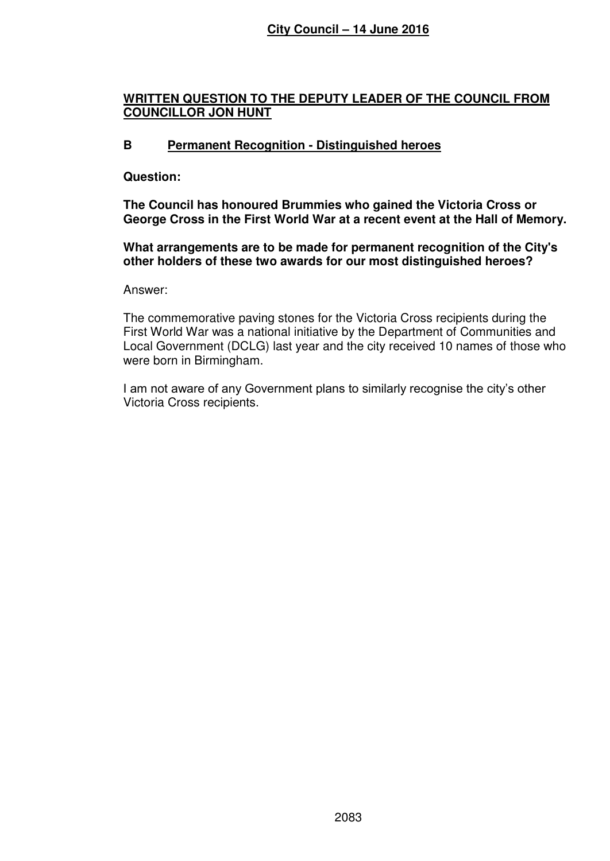# **WRITTEN QUESTION TO THE DEPUTY LEADER OF THE COUNCIL FROM COUNCILLOR JON HUNT**

# **B Permanent Recognition - Distinguished heroes**

### **Question:**

**The Council has honoured Brummies who gained the Victoria Cross or George Cross in the First World War at a recent event at the Hall of Memory.** 

**What arrangements are to be made for permanent recognition of the City's other holders of these two awards for our most distinguished heroes?** 

Answer:

The commemorative paving stones for the Victoria Cross recipients during the First World War was a national initiative by the Department of Communities and Local Government (DCLG) last year and the city received 10 names of those who were born in Birmingham.

I am not aware of any Government plans to similarly recognise the city's other Victoria Cross recipients.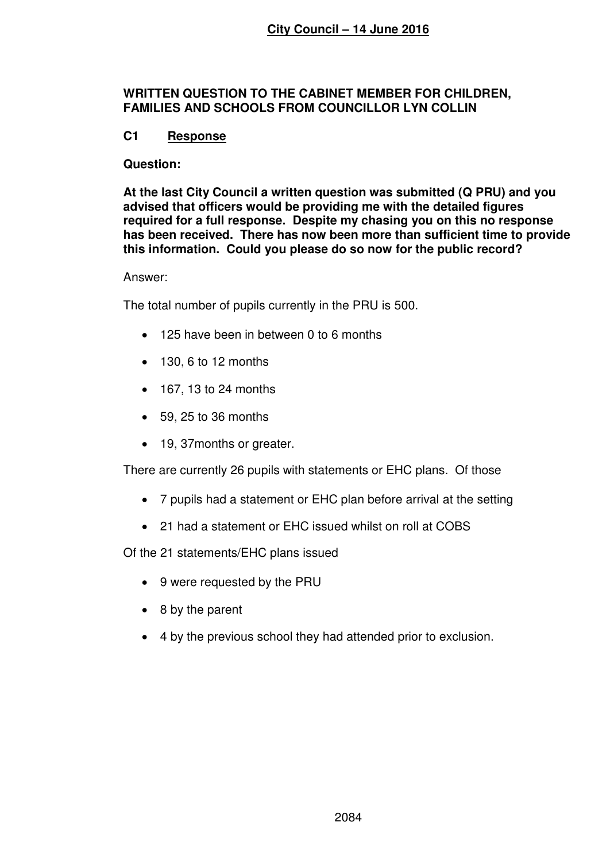### **WRITTEN QUESTION TO THE CABINET MEMBER FOR CHILDREN, FAMILIES AND SCHOOLS FROM COUNCILLOR LYN COLLIN**

# **C1 Response**

### **Question:**

**At the last City Council a written question was submitted (Q PRU) and you advised that officers would be providing me with the detailed figures required for a full response. Despite my chasing you on this no response has been received. There has now been more than sufficient time to provide this information. Could you please do so now for the public record?** 

### Answer:

The total number of pupils currently in the PRU is 500.

- 125 have been in between 0 to 6 months
- $\bullet$  130, 6 to 12 months
- 167, 13 to 24 months
- $\bullet$  59, 25 to 36 months
- 19, 37 months or greater.

There are currently 26 pupils with statements or EHC plans. Of those

- 7 pupils had a statement or EHC plan before arrival at the setting
- 21 had a statement or EHC issued whilst on roll at COBS

Of the 21 statements/EHC plans issued

- 9 were requested by the PRU
- 8 by the parent
- 4 by the previous school they had attended prior to exclusion.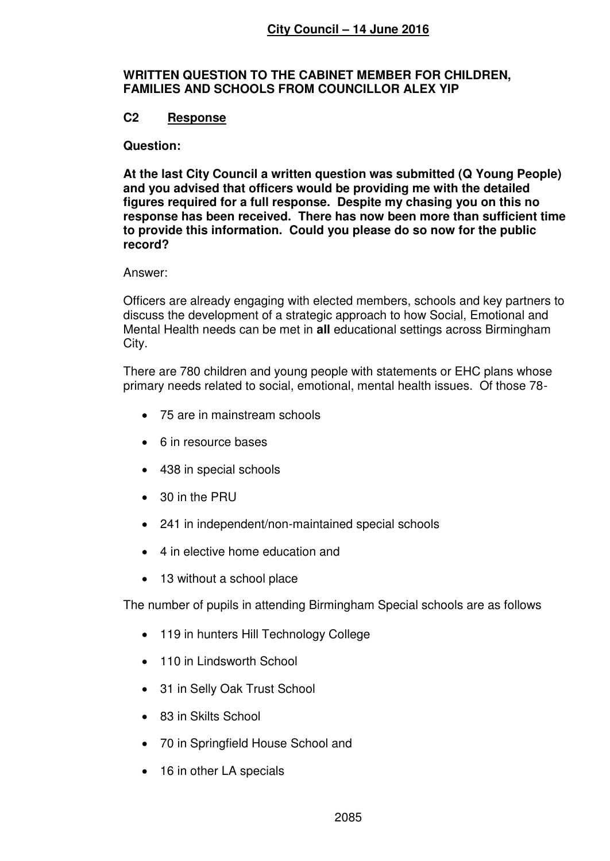### **WRITTEN QUESTION TO THE CABINET MEMBER FOR CHILDREN, FAMILIES AND SCHOOLS FROM COUNCILLOR ALEX YIP**

# **C2 Response**

#### **Question:**

**At the last City Council a written question was submitted (Q Young People) and you advised that officers would be providing me with the detailed figures required for a full response. Despite my chasing you on this no response has been received. There has now been more than sufficient time to provide this information. Could you please do so now for the public record?** 

#### Answer:

Officers are already engaging with elected members, schools and key partners to discuss the development of a strategic approach to how Social, Emotional and Mental Health needs can be met in **all** educational settings across Birmingham City.

There are 780 children and young people with statements or EHC plans whose primary needs related to social, emotional, mental health issues. Of those 78-

- 75 are in mainstream schools
- 6 in resource bases
- 438 in special schools
- 30 in the PRU
- 241 in independent/non-maintained special schools
- 4 in elective home education and
- 13 without a school place

The number of pupils in attending Birmingham Special schools are as follows

- 119 in hunters Hill Technology College
- 110 in Lindsworth School
- 31 in Selly Oak Trust School
- 83 in Skilts School
- 70 in Springfield House School and
- 16 in other LA specials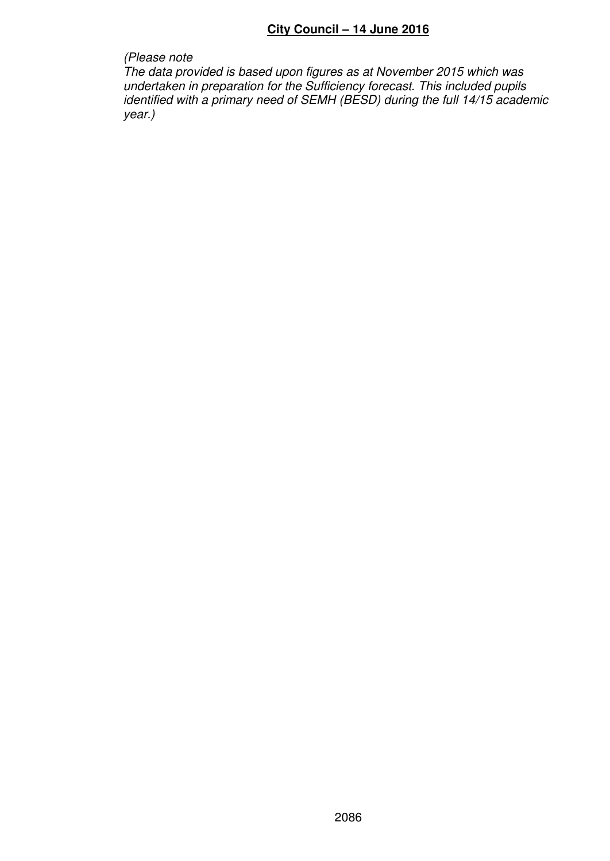*(Please note The data provided is based upon figures as at November 2015 which was undertaken in preparation for the Sufficiency forecast. This included pupils identified with a primary need of SEMH (BESD) during the full 14/15 academic* 

*year.)*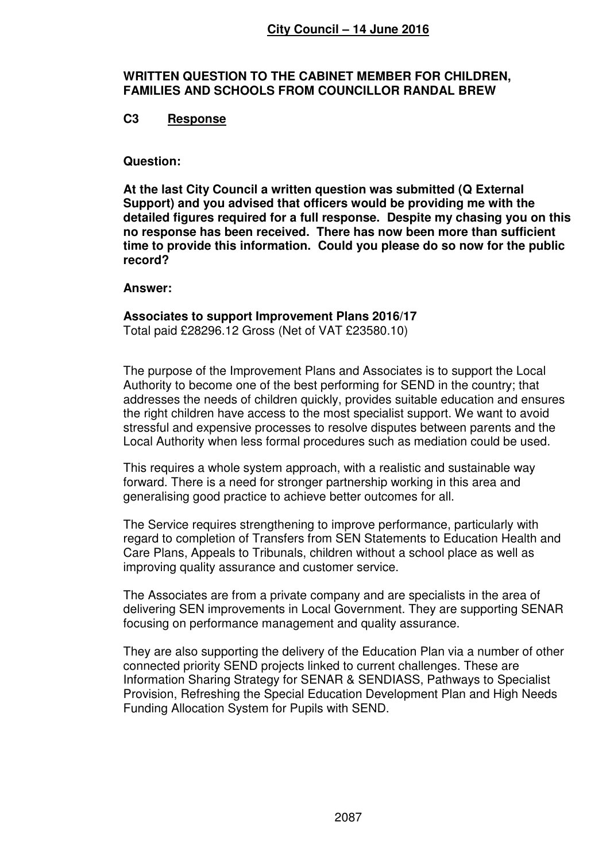### **WRITTEN QUESTION TO THE CABINET MEMBER FOR CHILDREN, FAMILIES AND SCHOOLS FROM COUNCILLOR RANDAL BREW**

### **C3 Response**

### **Question:**

**At the last City Council a written question was submitted (Q External Support) and you advised that officers would be providing me with the detailed figures required for a full response. Despite my chasing you on this no response has been received. There has now been more than sufficient time to provide this information. Could you please do so now for the public record?** 

#### **Answer:**

# **Associates to support Improvement Plans 2016/17**

Total paid £28296.12 Gross (Net of VAT £23580.10)

The purpose of the Improvement Plans and Associates is to support the Local Authority to become one of the best performing for SEND in the country; that addresses the needs of children quickly, provides suitable education and ensures the right children have access to the most specialist support. We want to avoid stressful and expensive processes to resolve disputes between parents and the Local Authority when less formal procedures such as mediation could be used.

This requires a whole system approach, with a realistic and sustainable way forward. There is a need for stronger partnership working in this area and generalising good practice to achieve better outcomes for all.

The Service requires strengthening to improve performance, particularly with regard to completion of Transfers from SEN Statements to Education Health and Care Plans, Appeals to Tribunals, children without a school place as well as improving quality assurance and customer service.

The Associates are from a private company and are specialists in the area of delivering SEN improvements in Local Government. They are supporting SENAR focusing on performance management and quality assurance.

They are also supporting the delivery of the Education Plan via a number of other connected priority SEND projects linked to current challenges. These are Information Sharing Strategy for SENAR & SENDIASS, Pathways to Specialist Provision, Refreshing the Special Education Development Plan and High Needs Funding Allocation System for Pupils with SEND.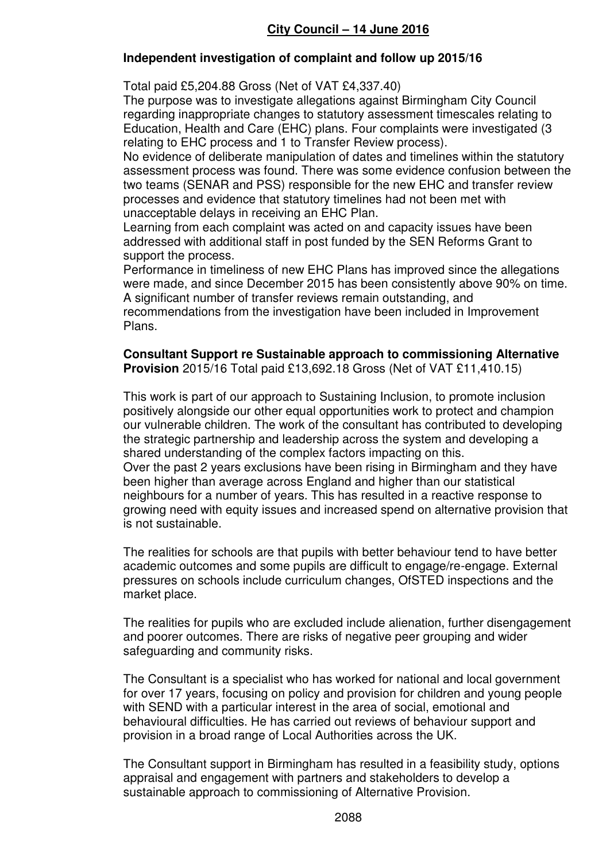# **Independent investigation of complaint and follow up 2015/16**

Total paid £5,204.88 Gross (Net of VAT £4,337.40)

The purpose was to investigate allegations against Birmingham City Council regarding inappropriate changes to statutory assessment timescales relating to Education, Health and Care (EHC) plans. Four complaints were investigated (3 relating to EHC process and 1 to Transfer Review process).

No evidence of deliberate manipulation of dates and timelines within the statutory assessment process was found. There was some evidence confusion between the two teams (SENAR and PSS) responsible for the new EHC and transfer review processes and evidence that statutory timelines had not been met with unacceptable delays in receiving an EHC Plan.

Learning from each complaint was acted on and capacity issues have been addressed with additional staff in post funded by the SEN Reforms Grant to support the process.

Performance in timeliness of new EHC Plans has improved since the allegations were made, and since December 2015 has been consistently above 90% on time. A significant number of transfer reviews remain outstanding, and recommendations from the investigation have been included in Improvement Plans.

**Consultant Support re Sustainable approach to commissioning Alternative Provision** 2015/16 Total paid £13,692.18 Gross (Net of VAT £11,410.15)

This work is part of our approach to Sustaining Inclusion, to promote inclusion positively alongside our other equal opportunities work to protect and champion our vulnerable children. The work of the consultant has contributed to developing the strategic partnership and leadership across the system and developing a shared understanding of the complex factors impacting on this. Over the past 2 years exclusions have been rising in Birmingham and they have been higher than average across England and higher than our statistical neighbours for a number of years. This has resulted in a reactive response to growing need with equity issues and increased spend on alternative provision that is not sustainable.

The realities for schools are that pupils with better behaviour tend to have better academic outcomes and some pupils are difficult to engage/re-engage. External pressures on schools include curriculum changes, OfSTED inspections and the market place.

The realities for pupils who are excluded include alienation, further disengagement and poorer outcomes. There are risks of negative peer grouping and wider safeguarding and community risks.

The Consultant is a specialist who has worked for national and local government for over 17 years, focusing on policy and provision for children and young people with SEND with a particular interest in the area of social, emotional and behavioural difficulties. He has carried out reviews of behaviour support and provision in a broad range of Local Authorities across the UK.

The Consultant support in Birmingham has resulted in a feasibility study, options appraisal and engagement with partners and stakeholders to develop a sustainable approach to commissioning of Alternative Provision.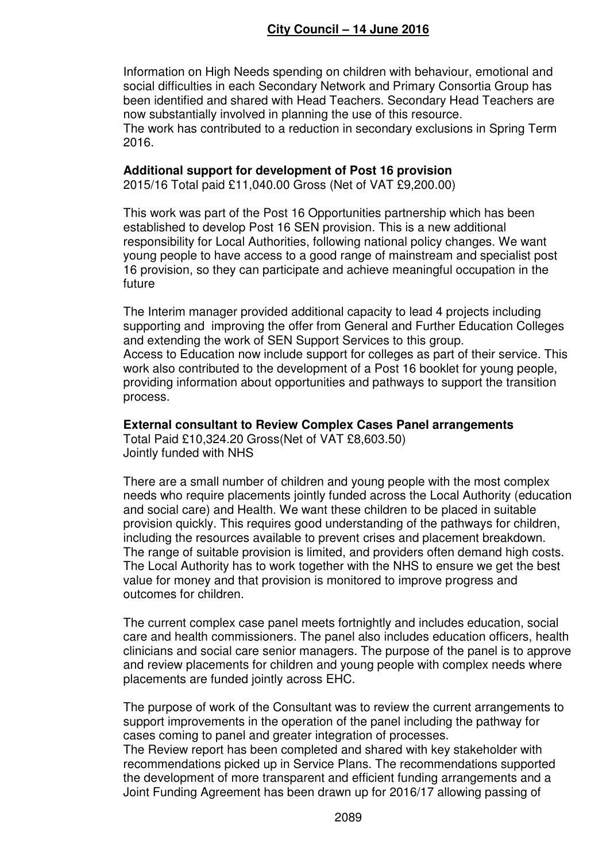Information on High Needs spending on children with behaviour, emotional and social difficulties in each Secondary Network and Primary Consortia Group has been identified and shared with Head Teachers. Secondary Head Teachers are now substantially involved in planning the use of this resource.

The work has contributed to a reduction in secondary exclusions in Spring Term 2016.

# **Additional support for development of Post 16 provision**

2015/16 Total paid £11,040.00 Gross (Net of VAT £9,200.00)

This work was part of the Post 16 Opportunities partnership which has been established to develop Post 16 SEN provision. This is a new additional responsibility for Local Authorities, following national policy changes. We want young people to have access to a good range of mainstream and specialist post 16 provision, so they can participate and achieve meaningful occupation in the future

The Interim manager provided additional capacity to lead 4 projects including supporting and improving the offer from General and Further Education Colleges and extending the work of SEN Support Services to this group. Access to Education now include support for colleges as part of their service. This work also contributed to the development of a Post 16 booklet for young people, providing information about opportunities and pathways to support the transition process.

### **External consultant to Review Complex Cases Panel arrangements**

Total Paid £10,324.20 Gross(Net of VAT £8,603.50) Jointly funded with NHS

There are a small number of children and young people with the most complex needs who require placements jointly funded across the Local Authority (education and social care) and Health. We want these children to be placed in suitable provision quickly. This requires good understanding of the pathways for children, including the resources available to prevent crises and placement breakdown. The range of suitable provision is limited, and providers often demand high costs. The Local Authority has to work together with the NHS to ensure we get the best value for money and that provision is monitored to improve progress and outcomes for children.

The current complex case panel meets fortnightly and includes education, social care and health commissioners. The panel also includes education officers, health clinicians and social care senior managers. The purpose of the panel is to approve and review placements for children and young people with complex needs where placements are funded jointly across EHC.

The purpose of work of the Consultant was to review the current arrangements to support improvements in the operation of the panel including the pathway for cases coming to panel and greater integration of processes.

The Review report has been completed and shared with key stakeholder with recommendations picked up in Service Plans. The recommendations supported the development of more transparent and efficient funding arrangements and a Joint Funding Agreement has been drawn up for 2016/17 allowing passing of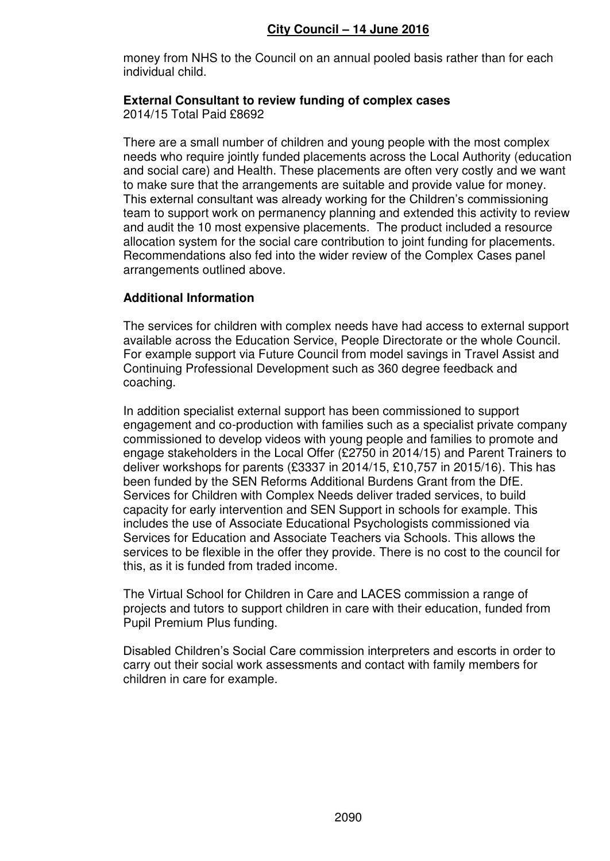money from NHS to the Council on an annual pooled basis rather than for each individual child.

#### **External Consultant to review funding of complex cases**  2014/15 Total Paid £8692

There are a small number of children and young people with the most complex needs who require jointly funded placements across the Local Authority (education and social care) and Health. These placements are often very costly and we want to make sure that the arrangements are suitable and provide value for money. This external consultant was already working for the Children's commissioning team to support work on permanency planning and extended this activity to review and audit the 10 most expensive placements. The product included a resource allocation system for the social care contribution to joint funding for placements. Recommendations also fed into the wider review of the Complex Cases panel arrangements outlined above.

# **Additional Information**

The services for children with complex needs have had access to external support available across the Education Service, People Directorate or the whole Council. For example support via Future Council from model savings in Travel Assist and Continuing Professional Development such as 360 degree feedback and coaching.

In addition specialist external support has been commissioned to support engagement and co-production with families such as a specialist private company commissioned to develop videos with young people and families to promote and engage stakeholders in the Local Offer (£2750 in 2014/15) and Parent Trainers to deliver workshops for parents (£3337 in 2014/15, £10,757 in 2015/16). This has been funded by the SEN Reforms Additional Burdens Grant from the DfE. Services for Children with Complex Needs deliver traded services, to build capacity for early intervention and SEN Support in schools for example. This includes the use of Associate Educational Psychologists commissioned via Services for Education and Associate Teachers via Schools. This allows the services to be flexible in the offer they provide. There is no cost to the council for this, as it is funded from traded income.

The Virtual School for Children in Care and LACES commission a range of projects and tutors to support children in care with their education, funded from Pupil Premium Plus funding.

Disabled Children's Social Care commission interpreters and escorts in order to carry out their social work assessments and contact with family members for children in care for example.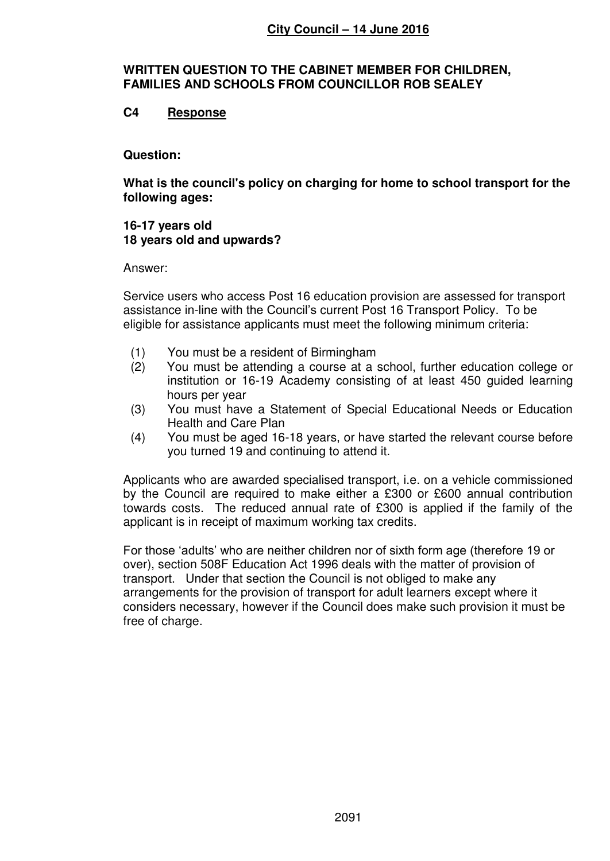### **WRITTEN QUESTION TO THE CABINET MEMBER FOR CHILDREN, FAMILIES AND SCHOOLS FROM COUNCILLOR ROB SEALEY**

# **C4 Response**

### **Question:**

**What is the council's policy on charging for home to school transport for the following ages:** 

#### **16-17 years old 18 years old and upwards?**

### Answer:

Service users who access Post 16 education provision are assessed for transport assistance in-line with the Council's current Post 16 Transport Policy. To be eligible for assistance applicants must meet the following minimum criteria:

- (1) You must be a resident of Birmingham
- (2) You must be attending a course at a school, further education college or institution or 16-19 Academy consisting of at least 450 guided learning hours per year
- (3) You must have a Statement of Special Educational Needs or Education Health and Care Plan
- (4) You must be aged 16-18 years, or have started the relevant course before you turned 19 and continuing to attend it.

Applicants who are awarded specialised transport, i.e. on a vehicle commissioned by the Council are required to make either a £300 or £600 annual contribution towards costs. The reduced annual rate of £300 is applied if the family of the applicant is in receipt of maximum working tax credits.

For those 'adults' who are neither children nor of sixth form age (therefore 19 or over), section 508F Education Act 1996 deals with the matter of provision of transport. Under that section the Council is not obliged to make any arrangements for the provision of transport for adult learners except where it considers necessary, however if the Council does make such provision it must be free of charge.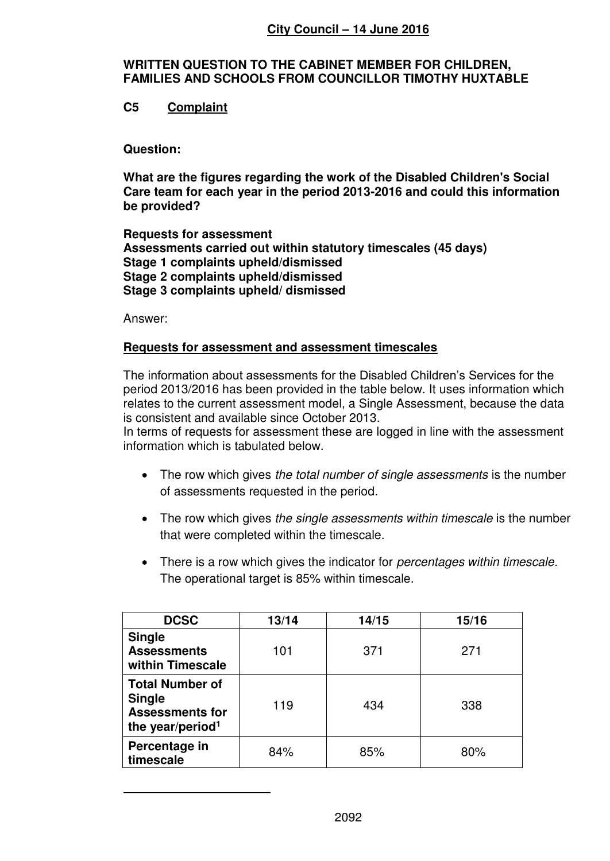# **WRITTEN QUESTION TO THE CABINET MEMBER FOR CHILDREN, FAMILIES AND SCHOOLS FROM COUNCILLOR TIMOTHY HUXTABLE**

# **C5 Complaint**

### **Question:**

**What are the figures regarding the work of the Disabled Children's Social Care team for each year in the period 2013-2016 and could this information be provided?** 

**Requests for assessment Assessments carried out within statutory timescales (45 days) Stage 1 complaints upheld/dismissed Stage 2 complaints upheld/dismissed Stage 3 complaints upheld/ dismissed** 

Answer:

 $\overline{a}$ 

### **Requests for assessment and assessment timescales**

The information about assessments for the Disabled Children's Services for the period 2013/2016 has been provided in the table below. It uses information which relates to the current assessment model, a Single Assessment, because the data is consistent and available since October 2013.

In terms of requests for assessment these are logged in line with the assessment information which is tabulated below.

- The row which gives *the total number of single assessments* is the number of assessments requested in the period.
- The row which gives *the single assessments within timescale* is the number that were completed within the timescale.
- There is a row which gives the indicator for *percentages within timescale.*  The operational target is 85% within timescale.

| <b>DCSC</b>                                                                                       | 13/14 | 14/15 | 15/16 |
|---------------------------------------------------------------------------------------------------|-------|-------|-------|
| <b>Single</b><br><b>Assessments</b><br>within Timescale                                           | 101   | 371   | 271   |
| <b>Total Number of</b><br><b>Single</b><br><b>Assessments for</b><br>the year/period <sup>1</sup> | 119   | 434   | 338   |
| Percentage in<br>timescale                                                                        | 84%   | 85%   | 80%   |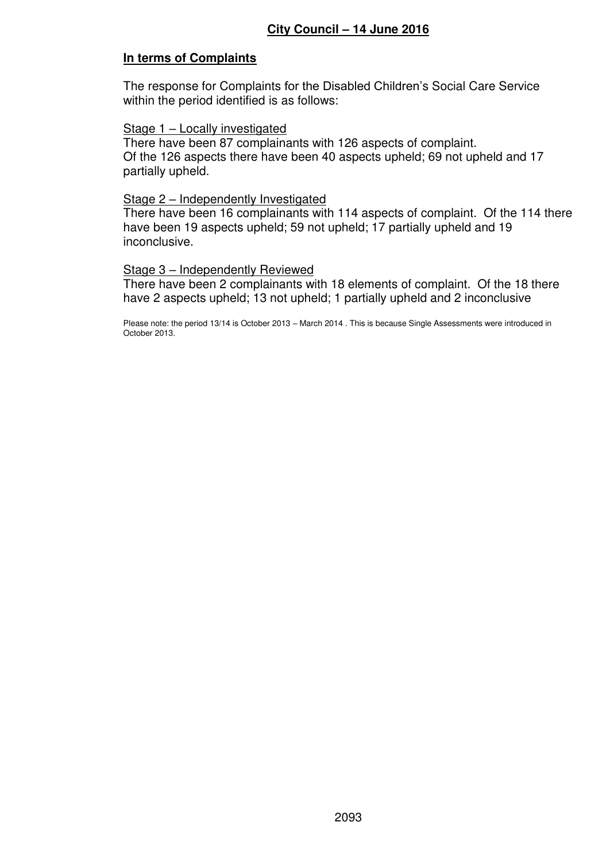# **In terms of Complaints**

The response for Complaints for the Disabled Children's Social Care Service within the period identified is as follows:

### Stage 1 – Locally investigated

There have been 87 complainants with 126 aspects of complaint. Of the 126 aspects there have been 40 aspects upheld; 69 not upheld and 17 partially upheld.

### Stage 2 – Independently Investigated

There have been 16 complainants with 114 aspects of complaint. Of the 114 there have been 19 aspects upheld; 59 not upheld; 17 partially upheld and 19 inconclusive.

### Stage 3 – Independently Reviewed

There have been 2 complainants with 18 elements of complaint. Of the 18 there have 2 aspects upheld; 13 not upheld; 1 partially upheld and 2 inconclusive

Please note: the period 13/14 is October 2013 – March 2014 . This is because Single Assessments were introduced in October 2013.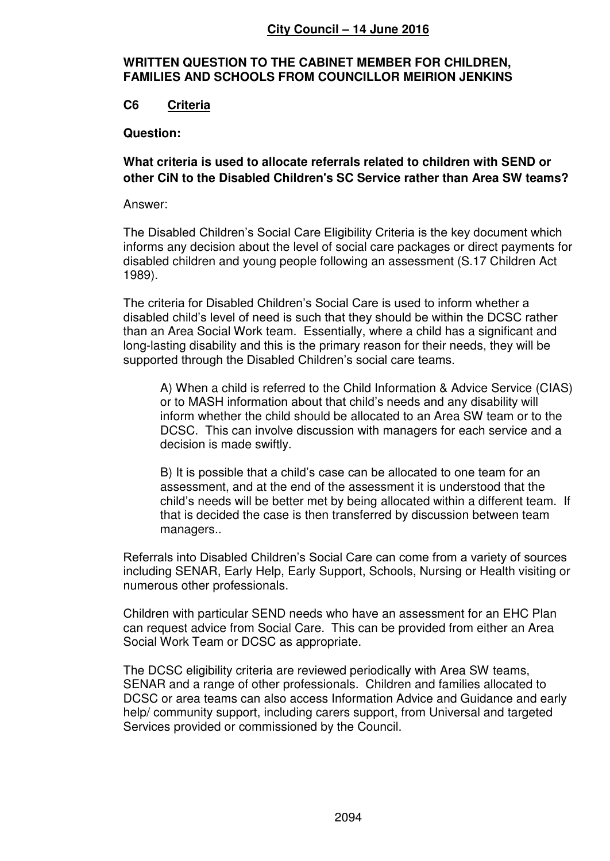### **WRITTEN QUESTION TO THE CABINET MEMBER FOR CHILDREN, FAMILIES AND SCHOOLS FROM COUNCILLOR MEIRION JENKINS**

# **C6 Criteria**

### **Question:**

# **What criteria is used to allocate referrals related to children with SEND or other CiN to the Disabled Children's SC Service rather than Area SW teams?**

### Answer:

The Disabled Children's Social Care Eligibility Criteria is the key document which informs any decision about the level of social care packages or direct payments for disabled children and young people following an assessment (S.17 Children Act 1989).

The criteria for Disabled Children's Social Care is used to inform whether a disabled child's level of need is such that they should be within the DCSC rather than an Area Social Work team. Essentially, where a child has a significant and long-lasting disability and this is the primary reason for their needs, they will be supported through the Disabled Children's social care teams.

A) When a child is referred to the Child Information & Advice Service (CIAS) or to MASH information about that child's needs and any disability will inform whether the child should be allocated to an Area SW team or to the DCSC. This can involve discussion with managers for each service and a decision is made swiftly.

B) It is possible that a child's case can be allocated to one team for an assessment, and at the end of the assessment it is understood that the child's needs will be better met by being allocated within a different team. If that is decided the case is then transferred by discussion between team managers..

Referrals into Disabled Children's Social Care can come from a variety of sources including SENAR, Early Help, Early Support, Schools, Nursing or Health visiting or numerous other professionals.

Children with particular SEND needs who have an assessment for an EHC Plan can request advice from Social Care. This can be provided from either an Area Social Work Team or DCSC as appropriate.

The DCSC eligibility criteria are reviewed periodically with Area SW teams, SENAR and a range of other professionals. Children and families allocated to DCSC or area teams can also access Information Advice and Guidance and early help/ community support, including carers support, from Universal and targeted Services provided or commissioned by the Council.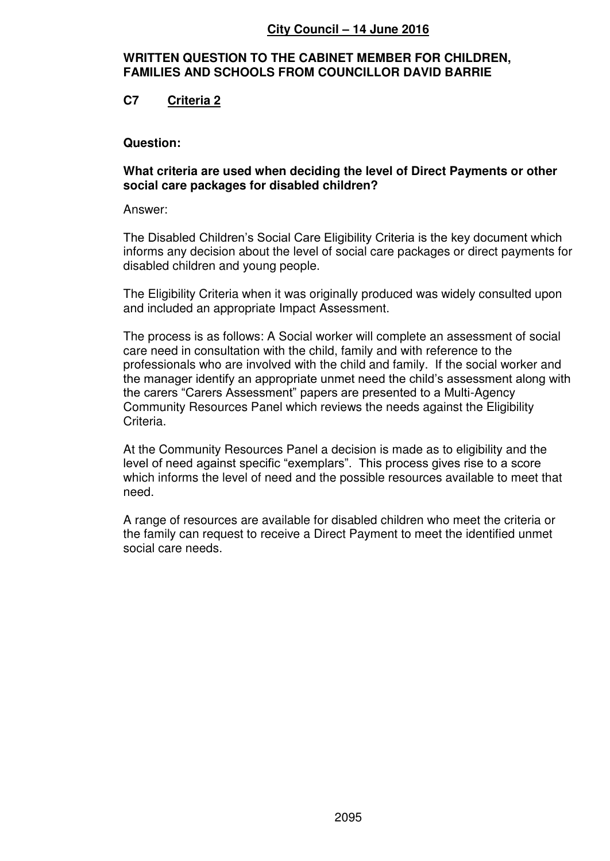### **WRITTEN QUESTION TO THE CABINET MEMBER FOR CHILDREN, FAMILIES AND SCHOOLS FROM COUNCILLOR DAVID BARRIE**

# **C7 Criteria 2**

### **Question:**

### **What criteria are used when deciding the level of Direct Payments or other social care packages for disabled children?**

Answer:

The Disabled Children's Social Care Eligibility Criteria is the key document which informs any decision about the level of social care packages or direct payments for disabled children and young people.

The Eligibility Criteria when it was originally produced was widely consulted upon and included an appropriate Impact Assessment.

The process is as follows: A Social worker will complete an assessment of social care need in consultation with the child, family and with reference to the professionals who are involved with the child and family. If the social worker and the manager identify an appropriate unmet need the child's assessment along with the carers "Carers Assessment" papers are presented to a Multi-Agency Community Resources Panel which reviews the needs against the Eligibility Criteria.

At the Community Resources Panel a decision is made as to eligibility and the level of need against specific "exemplars". This process gives rise to a score which informs the level of need and the possible resources available to meet that need.

A range of resources are available for disabled children who meet the criteria or the family can request to receive a Direct Payment to meet the identified unmet social care needs.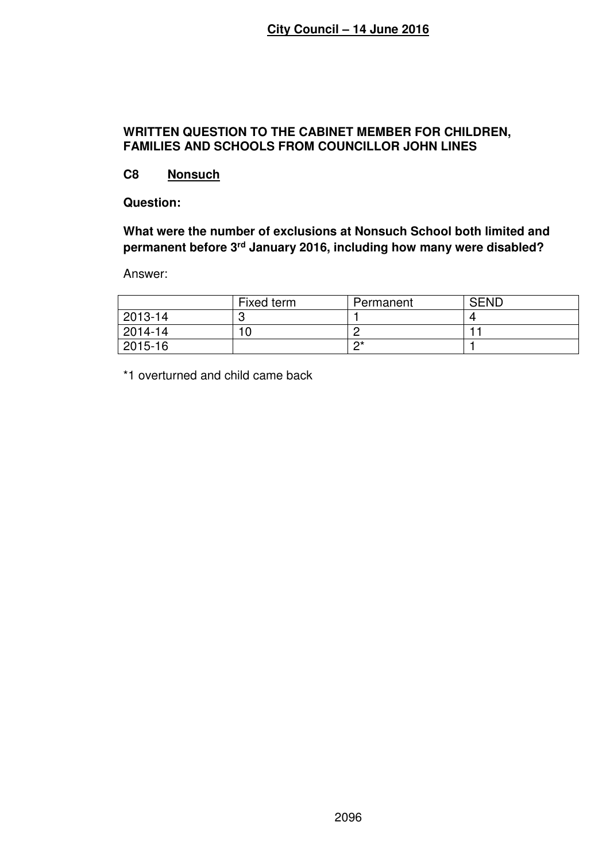### **WRITTEN QUESTION TO THE CABINET MEMBER FOR CHILDREN, FAMILIES AND SCHOOLS FROM COUNCILLOR JOHN LINES**

# **C8 Nonsuch**

**Question:** 

**What were the number of exclusions at Nonsuch School both limited and permanent before 3rd January 2016, including how many were disabled?**

Answer:

|         | Fixed term | Permanent | <b>SEND</b> |
|---------|------------|-----------|-------------|
| 2013-14 |            |           |             |
| 2014-14 |            |           |             |
| 2015-16 |            | י∩∗       |             |

\*1 overturned and child came back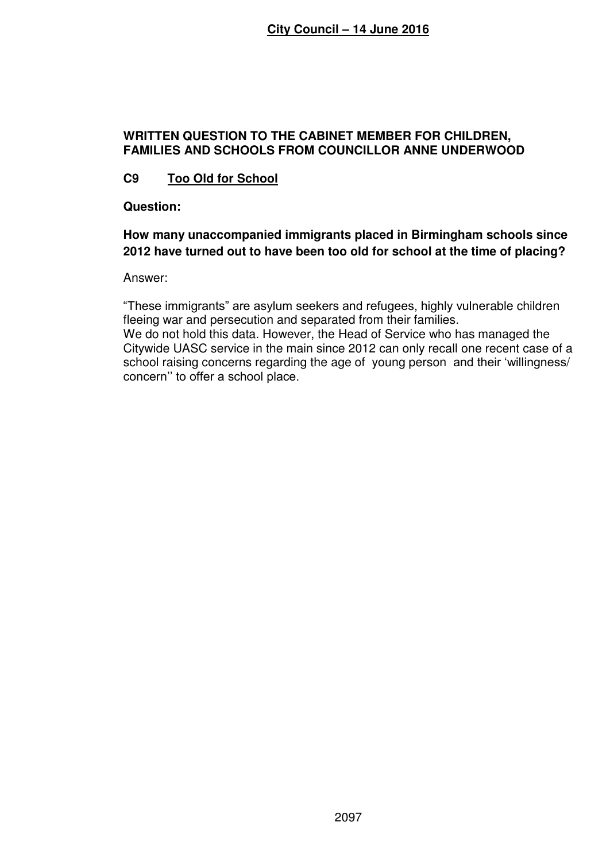# **WRITTEN QUESTION TO THE CABINET MEMBER FOR CHILDREN, FAMILIES AND SCHOOLS FROM COUNCILLOR ANNE UNDERWOOD**

# **C9 Too Old for School**

**Question:** 

# **How many unaccompanied immigrants placed in Birmingham schools since 2012 have turned out to have been too old for school at the time of placing?**

Answer:

"These immigrants" are asylum seekers and refugees, highly vulnerable children fleeing war and persecution and separated from their families. We do not hold this data. However, the Head of Service who has managed the Citywide UASC service in the main since 2012 can only recall one recent case of a school raising concerns regarding the age of young person and their 'willingness/ concern'' to offer a school place.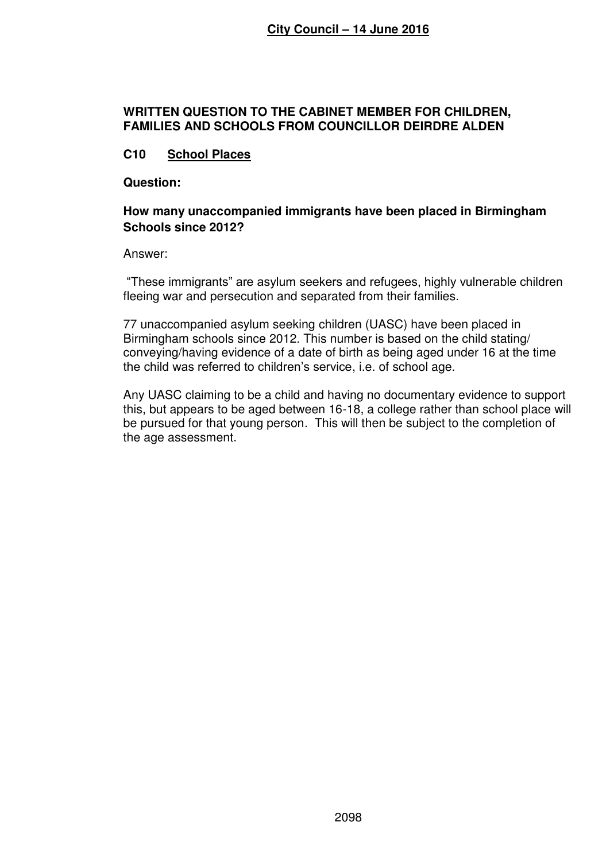### **WRITTEN QUESTION TO THE CABINET MEMBER FOR CHILDREN, FAMILIES AND SCHOOLS FROM COUNCILLOR DEIRDRE ALDEN**

# **C10 School Places**

**Question:** 

### **How many unaccompanied immigrants have been placed in Birmingham Schools since 2012?**

Answer:

"These immigrants" are asylum seekers and refugees, highly vulnerable children fleeing war and persecution and separated from their families.

77 unaccompanied asylum seeking children (UASC) have been placed in Birmingham schools since 2012. This number is based on the child stating/ conveying/having evidence of a date of birth as being aged under 16 at the time the child was referred to children's service, i.e. of school age.

Any UASC claiming to be a child and having no documentary evidence to support this, but appears to be aged between 16-18, a college rather than school place will be pursued for that young person. This will then be subject to the completion of the age assessment.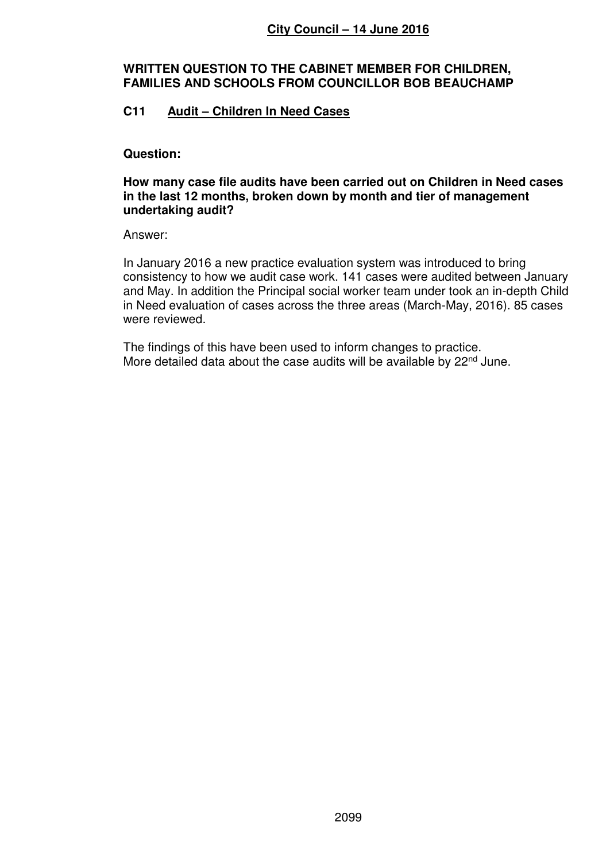### **WRITTEN QUESTION TO THE CABINET MEMBER FOR CHILDREN, FAMILIES AND SCHOOLS FROM COUNCILLOR BOB BEAUCHAMP**

# **C11 Audit – Children In Need Cases**

### **Question:**

### **How many case file audits have been carried out on Children in Need cases in the last 12 months, broken down by month and tier of management undertaking audit?**

### Answer:

In January 2016 a new practice evaluation system was introduced to bring consistency to how we audit case work. 141 cases were audited between January and May. In addition the Principal social worker team under took an in-depth Child in Need evaluation of cases across the three areas (March-May, 2016). 85 cases were reviewed.

The findings of this have been used to inform changes to practice. More detailed data about the case audits will be available by 22<sup>nd</sup> June.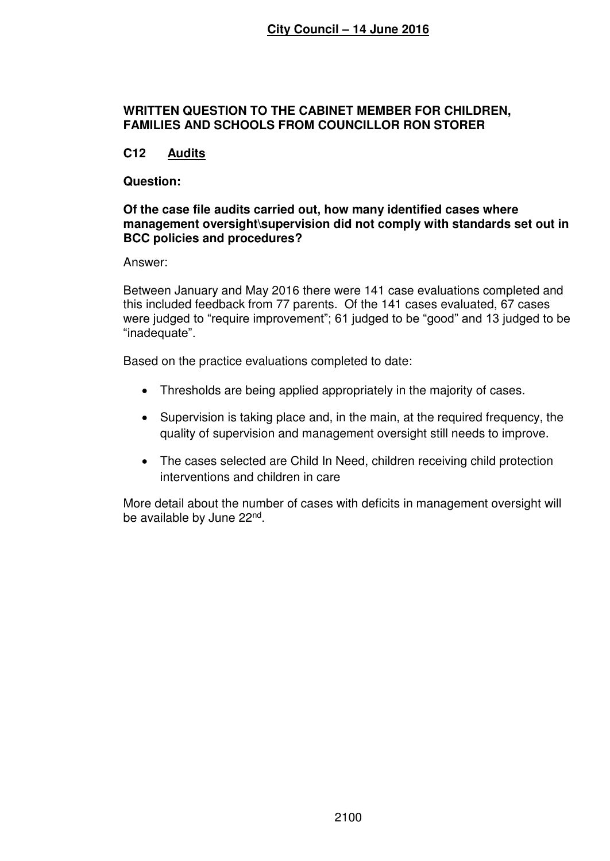### **WRITTEN QUESTION TO THE CABINET MEMBER FOR CHILDREN, FAMILIES AND SCHOOLS FROM COUNCILLOR RON STORER**

# **C12 Audits**

### **Question:**

### **Of the case file audits carried out, how many identified cases where management oversight\supervision did not comply with standards set out in BCC policies and procedures?**

Answer:

Between January and May 2016 there were 141 case evaluations completed and this included feedback from 77 parents. Of the 141 cases evaluated, 67 cases were judged to "require improvement"; 61 judged to be "good" and 13 judged to be "inadequate".

Based on the practice evaluations completed to date:

- Thresholds are being applied appropriately in the majority of cases.
- Supervision is taking place and, in the main, at the required frequency, the quality of supervision and management oversight still needs to improve.
- The cases selected are Child In Need, children receiving child protection interventions and children in care

More detail about the number of cases with deficits in management oversight will be available by June 22<sup>nd</sup>.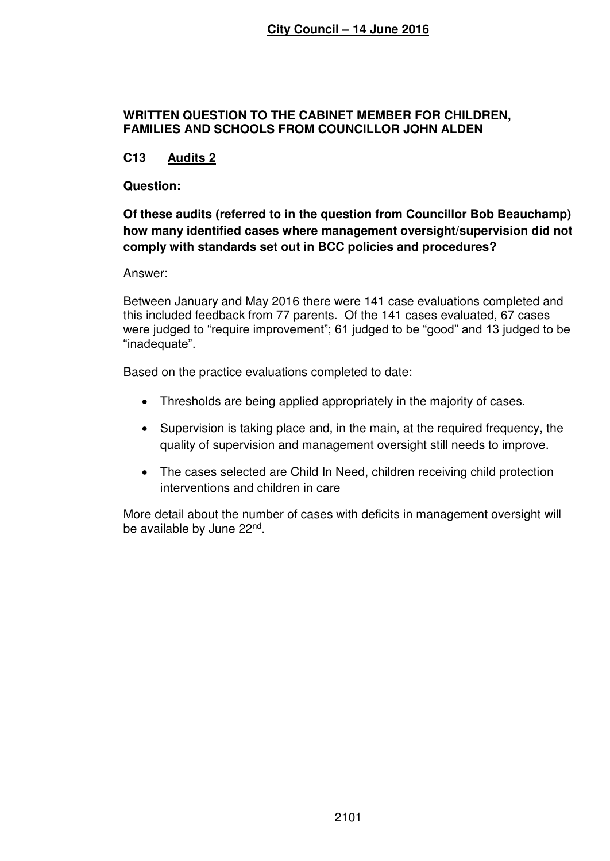### **WRITTEN QUESTION TO THE CABINET MEMBER FOR CHILDREN, FAMILIES AND SCHOOLS FROM COUNCILLOR JOHN ALDEN**

# **C13 Audits 2**

### **Question:**

# **Of these audits (referred to in the question from Councillor Bob Beauchamp) how many identified cases where management oversight/supervision did not comply with standards set out in BCC policies and procedures?**

Answer:

Between January and May 2016 there were 141 case evaluations completed and this included feedback from 77 parents. Of the 141 cases evaluated, 67 cases were judged to "require improvement"; 61 judged to be "good" and 13 judged to be "inadequate".

Based on the practice evaluations completed to date:

- Thresholds are being applied appropriately in the majority of cases.
- Supervision is taking place and, in the main, at the required frequency, the quality of supervision and management oversight still needs to improve.
- The cases selected are Child In Need, children receiving child protection interventions and children in care

More detail about the number of cases with deficits in management oversight will be available by June 22<sup>nd</sup>.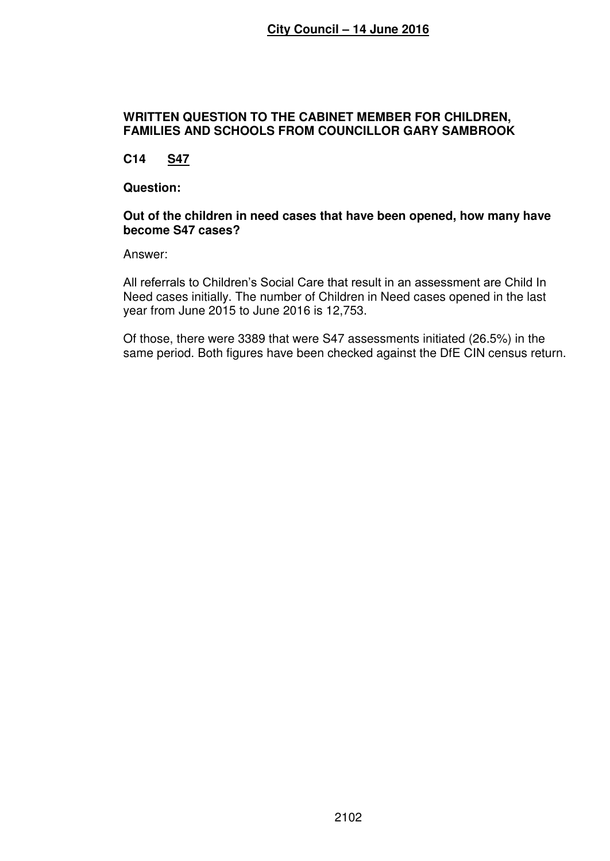### **WRITTEN QUESTION TO THE CABINET MEMBER FOR CHILDREN, FAMILIES AND SCHOOLS FROM COUNCILLOR GARY SAMBROOK**

# **C14 S47**

### **Question:**

### **Out of the children in need cases that have been opened, how many have become S47 cases?**

Answer:

All referrals to Children's Social Care that result in an assessment are Child In Need cases initially. The number of Children in Need cases opened in the last year from June 2015 to June 2016 is 12,753.

Of those, there were 3389 that were S47 assessments initiated (26.5%) in the same period. Both figures have been checked against the DfE CIN census return.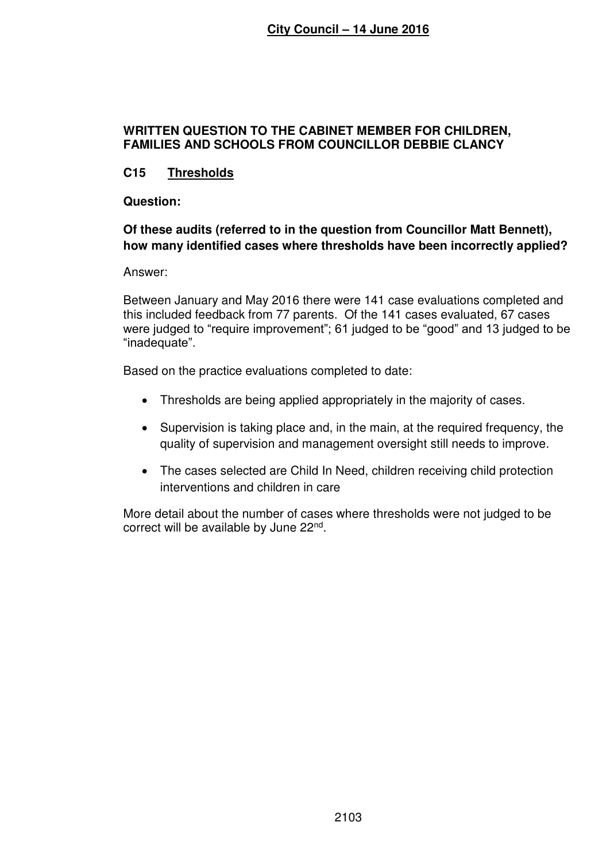## **WRITTEN QUESTION TO THE CABINET MEMBER FOR CHILDREN, FAMILIES AND SCHOOLS FROM COUNCILLOR DEBBIE CLANCY**

# **C15 Thresholds**

### **Question:**

# **Of these audits (referred to in the question from Councillor Matt Bennett), how many identified cases where thresholds have been incorrectly applied?**

Answer:

Between January and May 2016 there were 141 case evaluations completed and this included feedback from 77 parents. Of the 141 cases evaluated, 67 cases were judged to "require improvement"; 61 judged to be "good" and 13 judged to be "inadequate".

Based on the practice evaluations completed to date:

- Thresholds are being applied appropriately in the majority of cases.
- Supervision is taking place and, in the main, at the required frequency, the quality of supervision and management oversight still needs to improve.
- The cases selected are Child In Need, children receiving child protection interventions and children in care

More detail about the number of cases where thresholds were not judged to be correct will be available by June 22<sup>nd</sup>.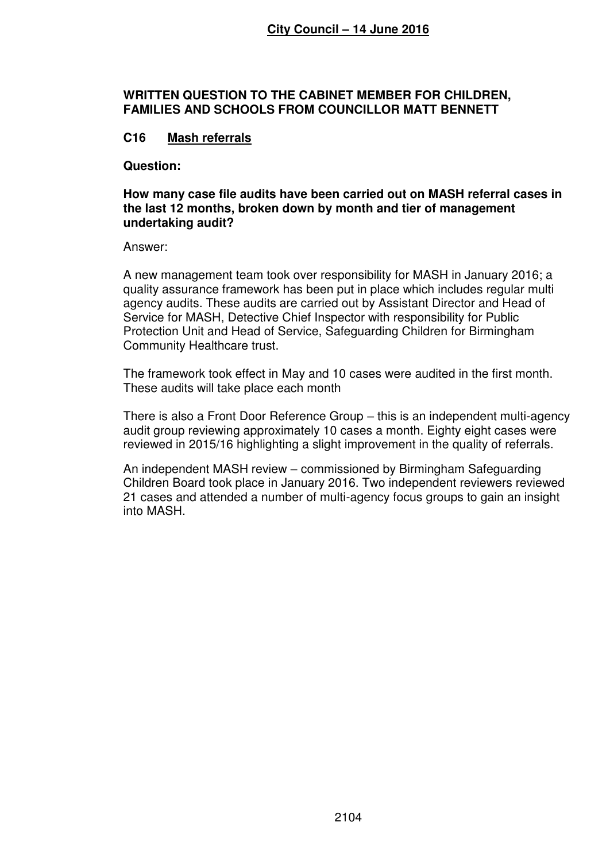#### **WRITTEN QUESTION TO THE CABINET MEMBER FOR CHILDREN, FAMILIES AND SCHOOLS FROM COUNCILLOR MATT BENNETT**

# **C16 Mash referrals**

**Question:** 

**How many case file audits have been carried out on MASH referral cases in the last 12 months, broken down by month and tier of management undertaking audit?**

Answer:

A new management team took over responsibility for MASH in January 2016; a quality assurance framework has been put in place which includes regular multi agency audits. These audits are carried out by Assistant Director and Head of Service for MASH, Detective Chief Inspector with responsibility for Public Protection Unit and Head of Service, Safeguarding Children for Birmingham Community Healthcare trust.

The framework took effect in May and 10 cases were audited in the first month. These audits will take place each month

There is also a Front Door Reference Group – this is an independent multi-agency audit group reviewing approximately 10 cases a month. Eighty eight cases were reviewed in 2015/16 highlighting a slight improvement in the quality of referrals.

An independent MASH review – commissioned by Birmingham Safeguarding Children Board took place in January 2016. Two independent reviewers reviewed 21 cases and attended a number of multi-agency focus groups to gain an insight into MASH.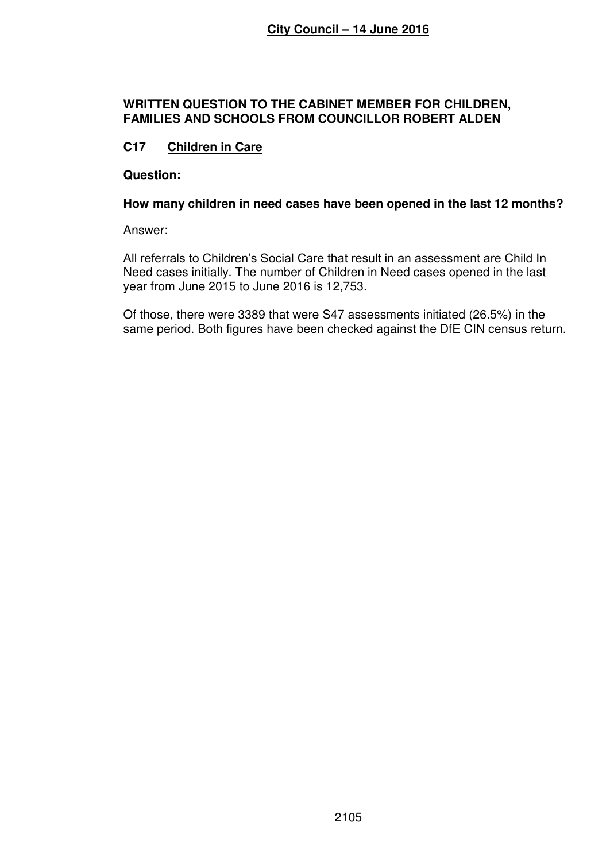### **WRITTEN QUESTION TO THE CABINET MEMBER FOR CHILDREN, FAMILIES AND SCHOOLS FROM COUNCILLOR ROBERT ALDEN**

# **C17 Children in Care**

**Question:** 

#### **How many children in need cases have been opened in the last 12 months?**

Answer:

All referrals to Children's Social Care that result in an assessment are Child In Need cases initially. The number of Children in Need cases opened in the last year from June 2015 to June 2016 is 12,753.

Of those, there were 3389 that were S47 assessments initiated (26.5%) in the same period. Both figures have been checked against the DfE CIN census return.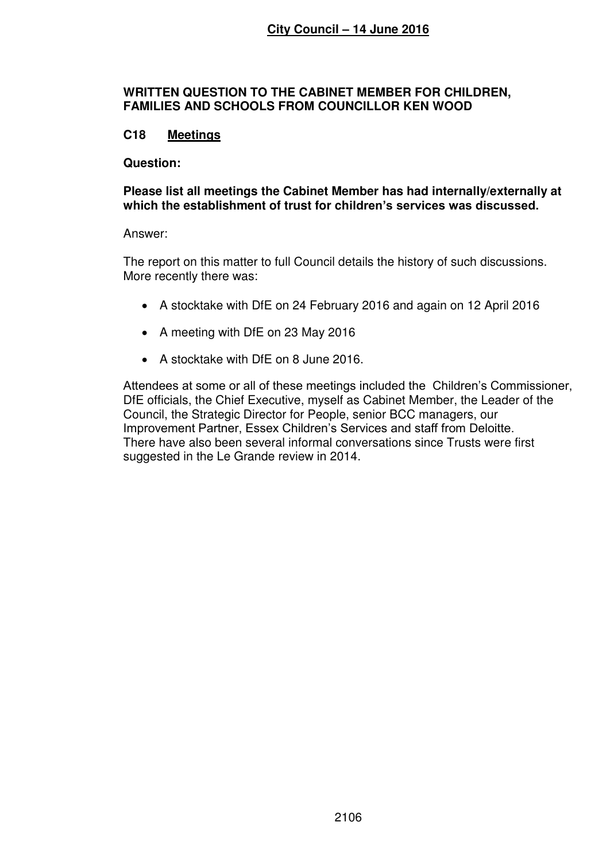#### **WRITTEN QUESTION TO THE CABINET MEMBER FOR CHILDREN, FAMILIES AND SCHOOLS FROM COUNCILLOR KEN WOOD**

# **C18 Meetings**

#### **Question:**

#### **Please list all meetings the Cabinet Member has had internally/externally at which the establishment of trust for children's services was discussed.**

#### Answer:

The report on this matter to full Council details the history of such discussions. More recently there was:

- A stocktake with DfE on 24 February 2016 and again on 12 April 2016
- A meeting with DfE on 23 May 2016
- A stocktake with DfE on 8 June 2016.

Attendees at some or all of these meetings included the Children's Commissioner, DfE officials, the Chief Executive, myself as Cabinet Member, the Leader of the Council, the Strategic Director for People, senior BCC managers, our Improvement Partner, Essex Children's Services and staff from Deloitte. There have also been several informal conversations since Trusts were first suggested in the Le Grande review in 2014.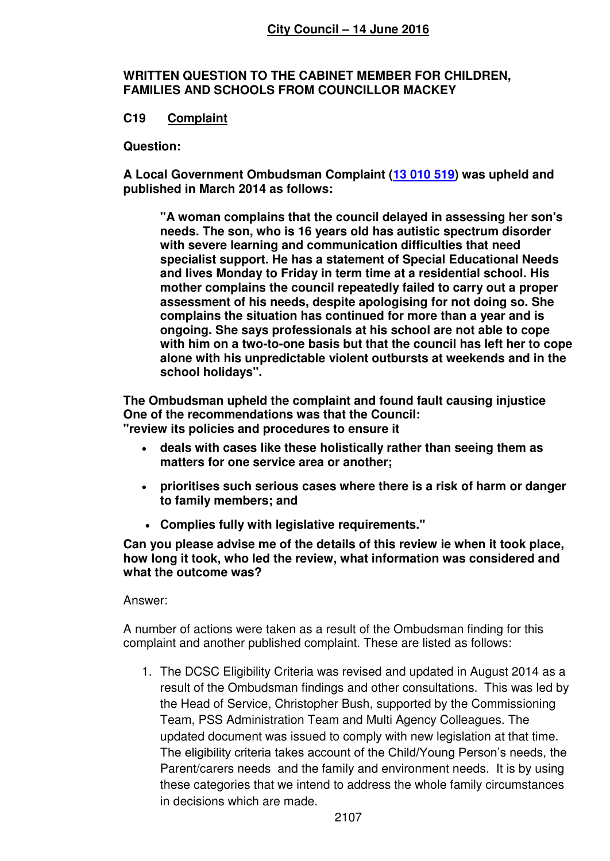**WRITTEN QUESTION TO THE CABINET MEMBER FOR CHILDREN, FAMILIES AND SCHOOLS FROM COUNCILLOR MACKEY** 

# **C19 Complaint**

**Question:** 

**A Local Government Ombudsman Complaint [\(13 010 519\)](tel:13%20010%20519) was upheld and published in March 2014 as follows:** 

 **"A woman complains that the council delayed in assessing her son's needs. The son, who is 16 years old has autistic spectrum disorder with severe learning and communication difficulties that need specialist support. He has a statement of Special Educational Needs and lives Monday to Friday in term time at a residential school. His mother complains the council repeatedly failed to carry out a proper assessment of his needs, despite apologising for not doing so. She complains the situation has continued for more than a year and is ongoing. She says professionals at his school are not able to cope with him on a two-to-one basis but that the council has left her to cope alone with his unpredictable violent outbursts at weekends and in the school holidays".** 

**The Ombudsman upheld the complaint and found fault causing injustice One of the recommendations was that the Council: "review its policies and procedures to ensure it** 

- **deals with cases like these holistically rather than seeing them as matters for one service area or another;**
- **prioritises such serious cases where there is a risk of harm or danger to family members; and**
- **Complies fully with legislative requirements."**

**Can you please advise me of the details of this review ie when it took place, how long it took, who led the review, what information was considered and what the outcome was?** 

Answer:

A number of actions were taken as a result of the Ombudsman finding for this complaint and another published complaint. These are listed as follows:

1. The DCSC Eligibility Criteria was revised and updated in August 2014 as a result of the Ombudsman findings and other consultations. This was led by the Head of Service, Christopher Bush, supported by the Commissioning Team, PSS Administration Team and Multi Agency Colleagues. The updated document was issued to comply with new legislation at that time. The eligibility criteria takes account of the Child/Young Person's needs, the Parent/carers needs and the family and environment needs. It is by using these categories that we intend to address the whole family circumstances in decisions which are made.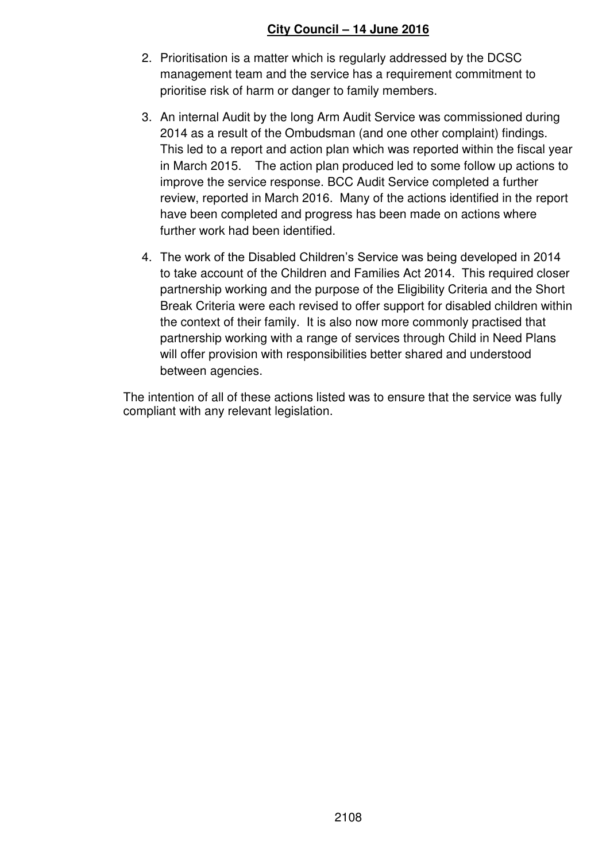- 2. Prioritisation is a matter which is regularly addressed by the DCSC management team and the service has a requirement commitment to prioritise risk of harm or danger to family members.
- 3. An internal Audit by the long Arm Audit Service was commissioned during 2014 as a result of the Ombudsman (and one other complaint) findings. This led to a report and action plan which was reported within the fiscal year in March 2015. The action plan produced led to some follow up actions to improve the service response. BCC Audit Service completed a further review, reported in March 2016. Many of the actions identified in the report have been completed and progress has been made on actions where further work had been identified.
- 4. The work of the Disabled Children's Service was being developed in 2014 to take account of the Children and Families Act 2014. This required closer partnership working and the purpose of the Eligibility Criteria and the Short Break Criteria were each revised to offer support for disabled children within the context of their family. It is also now more commonly practised that partnership working with a range of services through Child in Need Plans will offer provision with responsibilities better shared and understood between agencies.

The intention of all of these actions listed was to ensure that the service was fully compliant with any relevant legislation.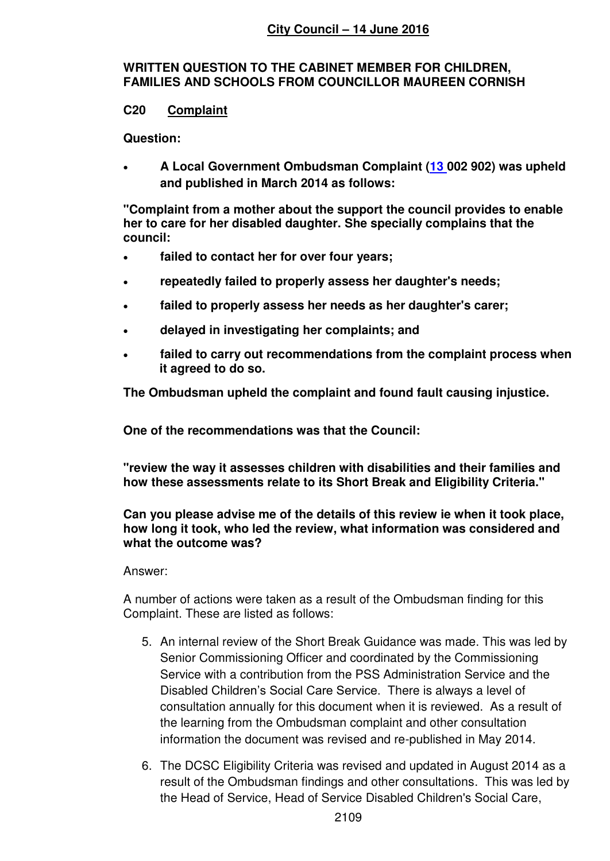### **WRITTEN QUESTION TO THE CABINET MEMBER FOR CHILDREN, FAMILIES AND SCHOOLS FROM COUNCILLOR MAUREEN CORNISH**

### **C20 Complaint**

**Question:** 

 **A Local Government Ombudsman Complaint [\(13](tel:13%20010%20519) 002 902) was upheld and published in March 2014 as follows:** 

**"Complaint from a mother about the support the council provides to enable her to care for her disabled daughter. She specially complains that the council:** 

- **failed to contact her for over four years;**
- **repeatedly failed to properly assess her daughter's needs;**
- **failed to properly assess her needs as her daughter's carer;**
- **delayed in investigating her complaints; and**
- **failed to carry out recommendations from the complaint process when it agreed to do so.**

**The Ombudsman upheld the complaint and found fault causing injustice.** 

**One of the recommendations was that the Council:** 

**"review the way it assesses children with disabilities and their families and how these assessments relate to its Short Break and Eligibility Criteria."** 

### **Can you please advise me of the details of this review ie when it took place, how long it took, who led the review, what information was considered and what the outcome was?**

### Answer:

A number of actions were taken as a result of the Ombudsman finding for this Complaint. These are listed as follows:

- 5. An internal review of the Short Break Guidance was made. This was led by Senior Commissioning Officer and coordinated by the Commissioning Service with a contribution from the PSS Administration Service and the Disabled Children's Social Care Service. There is always a level of consultation annually for this document when it is reviewed. As a result of the learning from the Ombudsman complaint and other consultation information the document was revised and re-published in May 2014.
- 6. The DCSC Eligibility Criteria was revised and updated in August 2014 as a result of the Ombudsman findings and other consultations. This was led by the Head of Service, Head of Service Disabled Children's Social Care,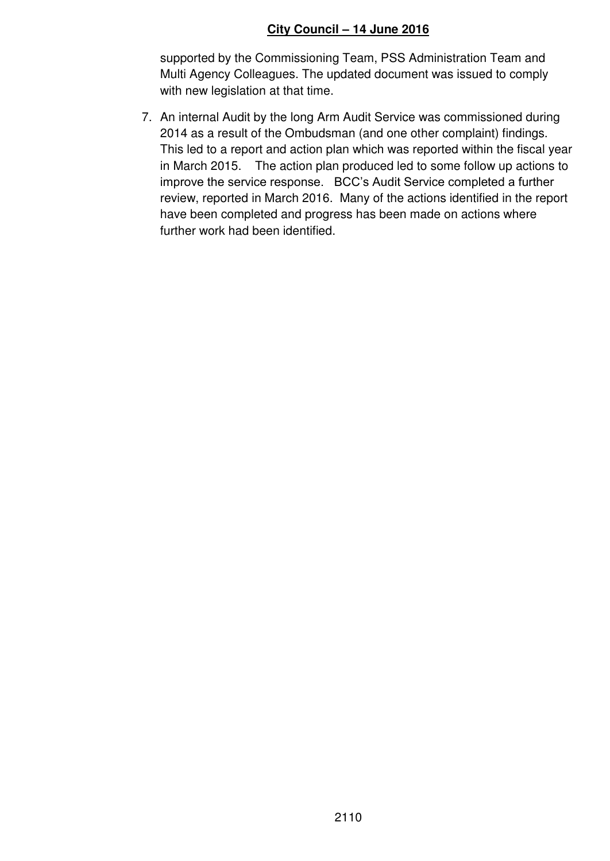supported by the Commissioning Team, PSS Administration Team and Multi Agency Colleagues. The updated document was issued to comply with new legislation at that time.

7. An internal Audit by the long Arm Audit Service was commissioned during 2014 as a result of the Ombudsman (and one other complaint) findings. This led to a report and action plan which was reported within the fiscal year in March 2015. The action plan produced led to some follow up actions to improve the service response. BCC's Audit Service completed a further review, reported in March 2016. Many of the actions identified in the report have been completed and progress has been made on actions where further work had been identified.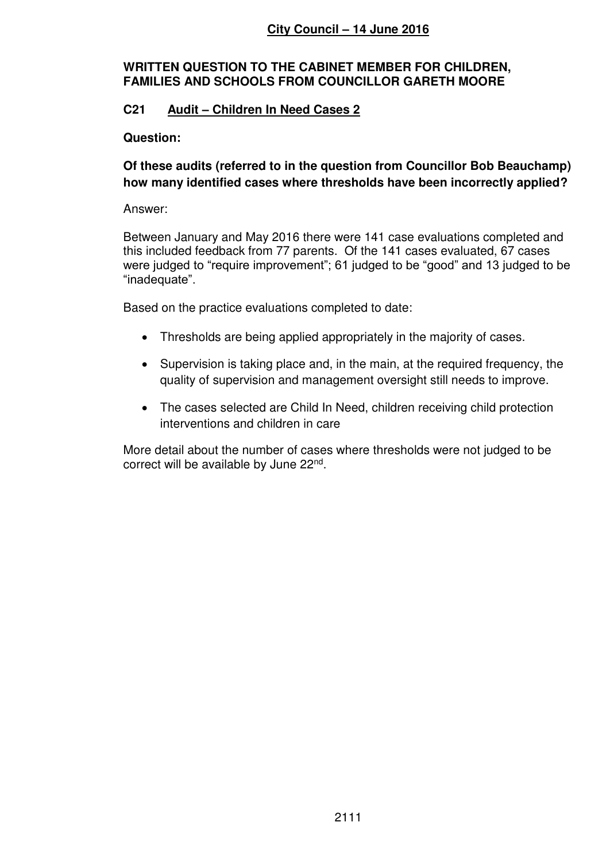# **WRITTEN QUESTION TO THE CABINET MEMBER FOR CHILDREN, FAMILIES AND SCHOOLS FROM COUNCILLOR GARETH MOORE**

# **C21 Audit – Children In Need Cases 2**

# **Question:**

# **Of these audits (referred to in the question from Councillor Bob Beauchamp) how many identified cases where thresholds have been incorrectly applied?**

### Answer:

Between January and May 2016 there were 141 case evaluations completed and this included feedback from 77 parents. Of the 141 cases evaluated, 67 cases were judged to "require improvement"; 61 judged to be "good" and 13 judged to be "inadequate".

Based on the practice evaluations completed to date:

- Thresholds are being applied appropriately in the majority of cases.
- Supervision is taking place and, in the main, at the required frequency, the quality of supervision and management oversight still needs to improve.
- The cases selected are Child In Need, children receiving child protection interventions and children in care

More detail about the number of cases where thresholds were not judged to be correct will be available by June 22<sup>nd</sup>.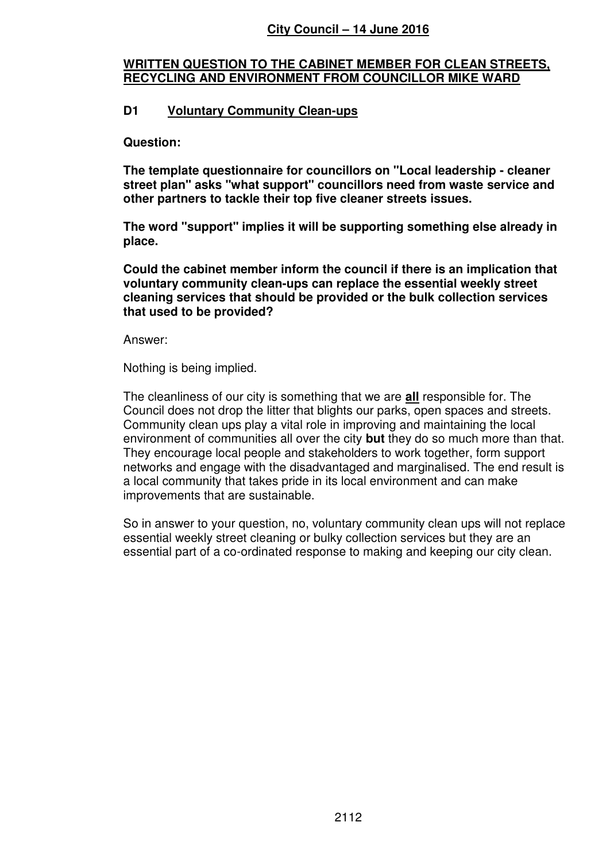# **WRITTEN QUESTION TO THE CABINET MEMBER FOR CLEAN STREETS, RECYCLING AND ENVIRONMENT FROM COUNCILLOR MIKE WARD**

# **D1 Voluntary Community Clean-ups**

**Question:** 

**The template questionnaire for councillors on "Local leadership - cleaner street plan" asks "what support" councillors need from waste service and other partners to tackle their top five cleaner streets issues.** 

**The word "support" implies it will be supporting something else already in place.** 

**Could the cabinet member inform the council if there is an implication that voluntary community clean-ups can replace the essential weekly street cleaning services that should be provided or the bulk collection services that used to be provided?** 

Answer:

Nothing is being implied.

The cleanliness of our city is something that we are **all** responsible for. The Council does not drop the litter that blights our parks, open spaces and streets. Community clean ups play a vital role in improving and maintaining the local environment of communities all over the city **but** they do so much more than that. They encourage local people and stakeholders to work together, form support networks and engage with the disadvantaged and marginalised. The end result is a local community that takes pride in its local environment and can make improvements that are sustainable.

So in answer to your question, no, voluntary community clean ups will not replace essential weekly street cleaning or bulky collection services but they are an essential part of a co-ordinated response to making and keeping our city clean.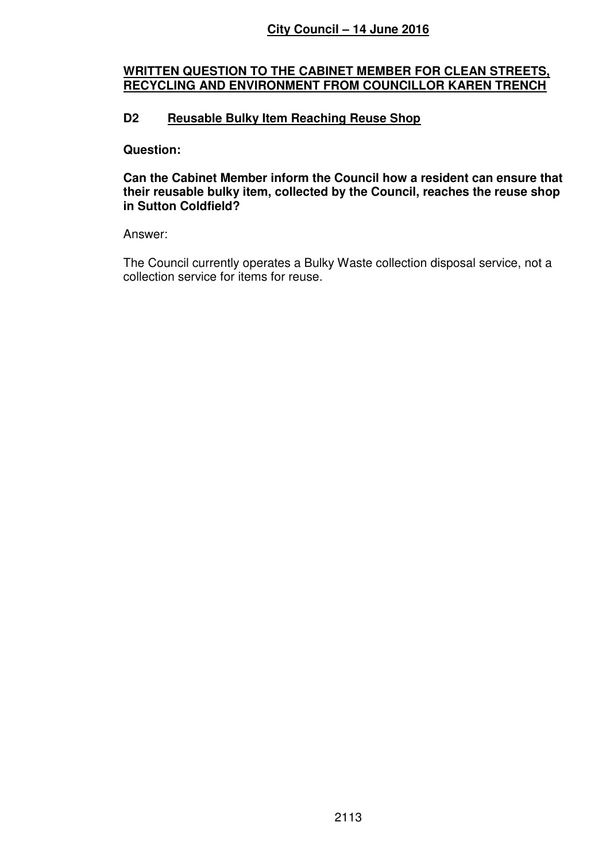#### **WRITTEN QUESTION TO THE CABINET MEMBER FOR CLEAN STREETS, RECYCLING AND ENVIRONMENT FROM COUNCILLOR KAREN TRENCH**

# **D2 Reusable Bulky Item Reaching Reuse Shop**

#### **Question:**

#### **Can the Cabinet Member inform the Council how a resident can ensure that their reusable bulky item, collected by the Council, reaches the reuse shop in Sutton Coldfield?**

### Answer:

The Council currently operates a Bulky Waste collection disposal service, not a collection service for items for reuse.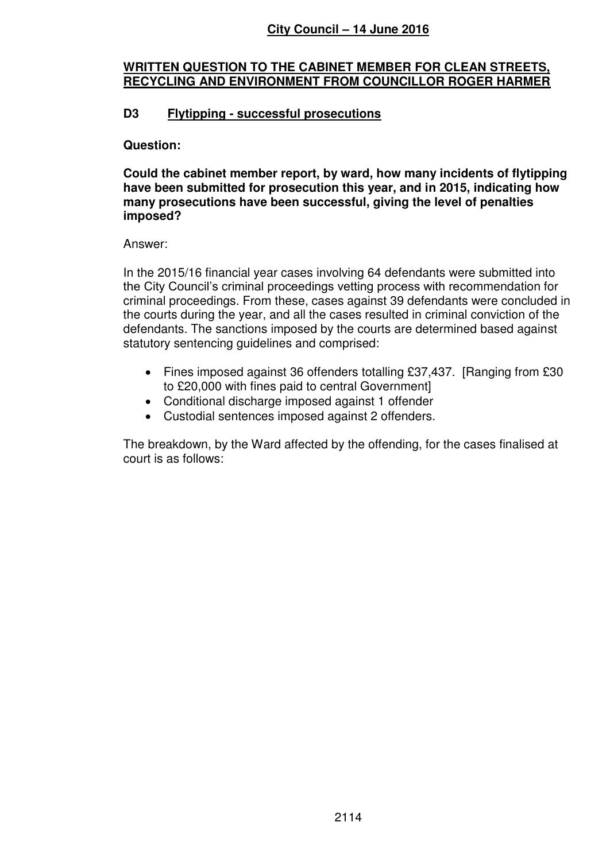## **WRITTEN QUESTION TO THE CABINET MEMBER FOR CLEAN STREETS, RECYCLING AND ENVIRONMENT FROM COUNCILLOR ROGER HARMER**

# **D3 Flytipping - successful prosecutions**

### **Question:**

**Could the cabinet member report, by ward, how many incidents of flytipping have been submitted for prosecution this year, and in 2015, indicating how many prosecutions have been successful, giving the level of penalties imposed?** 

### Answer:

In the 2015/16 financial year cases involving 64 defendants were submitted into the City Council's criminal proceedings vetting process with recommendation for criminal proceedings. From these, cases against 39 defendants were concluded in the courts during the year, and all the cases resulted in criminal conviction of the defendants. The sanctions imposed by the courts are determined based against statutory sentencing guidelines and comprised:

- Fines imposed against 36 offenders totalling £37,437. [Ranging from £30 to £20,000 with fines paid to central Government]
- Conditional discharge imposed against 1 offender
- Custodial sentences imposed against 2 offenders.

The breakdown, by the Ward affected by the offending, for the cases finalised at court is as follows: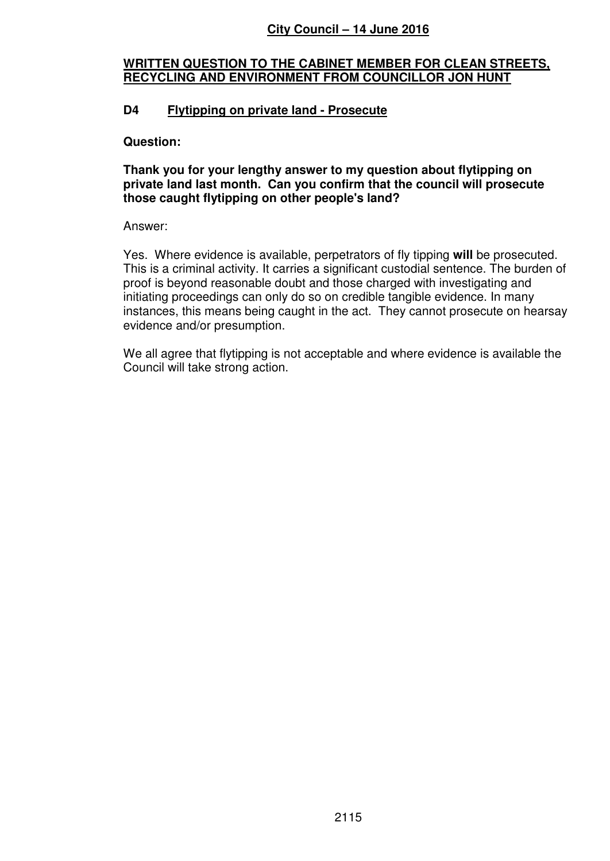# **WRITTEN QUESTION TO THE CABINET MEMBER FOR CLEAN STREETS, RECYCLING AND ENVIRONMENT FROM COUNCILLOR JON HUNT**

# **D4 Flytipping on private land - Prosecute**

### **Question:**

### **Thank you for your lengthy answer to my question about flytipping on private land last month. Can you confirm that the council will prosecute those caught flytipping on other people's land?**

### Answer:

Yes. Where evidence is available, perpetrators of fly tipping **will** be prosecuted. This is a criminal activity. It carries a significant custodial sentence. The burden of proof is beyond reasonable doubt and those charged with investigating and initiating proceedings can only do so on credible tangible evidence. In many instances, this means being caught in the act. They cannot prosecute on hearsay evidence and/or presumption.

We all agree that flytipping is not acceptable and where evidence is available the Council will take strong action.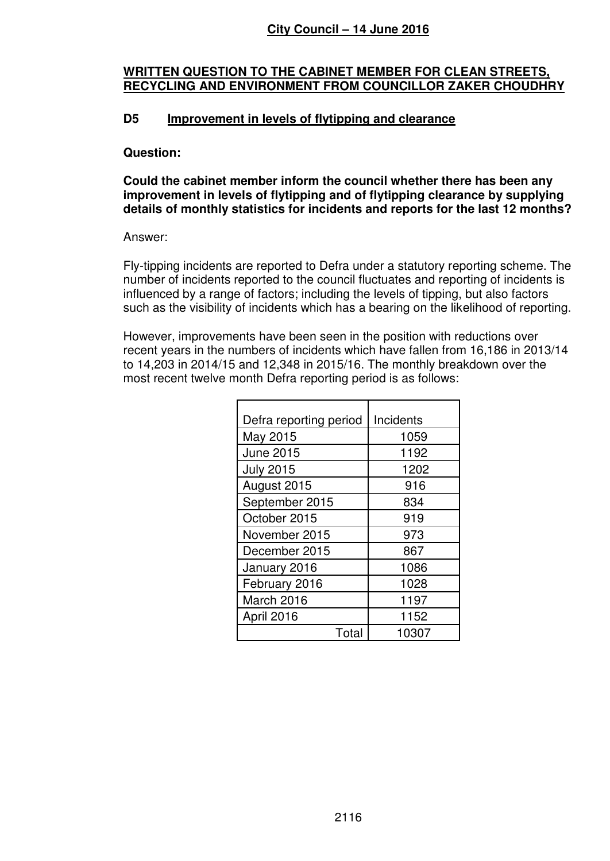### **WRITTEN QUESTION TO THE CABINET MEMBER FOR CLEAN STREETS, RECYCLING AND ENVIRONMENT FROM COUNCILLOR ZAKER CHOUDHRY**

### **D5 Improvement in levels of flytipping and clearance**

#### **Question:**

**Could the cabinet member inform the council whether there has been any improvement in levels of flytipping and of flytipping clearance by supplying details of monthly statistics for incidents and reports for the last 12 months?** 

#### Answer:

Fly-tipping incidents are reported to Defra under a statutory reporting scheme. The number of incidents reported to the council fluctuates and reporting of incidents is influenced by a range of factors; including the levels of tipping, but also factors such as the visibility of incidents which has a bearing on the likelihood of reporting.

However, improvements have been seen in the position with reductions over recent years in the numbers of incidents which have fallen from 16,186 in 2013/14 to 14,203 in 2014/15 and 12,348 in 2015/16. The monthly breakdown over the most recent twelve month Defra reporting period is as follows:

| Defra reporting period | Incidents |  |
|------------------------|-----------|--|
|                        |           |  |
| May 2015               | 1059      |  |
| <b>June 2015</b>       | 1192      |  |
| <b>July 2015</b>       | 1202      |  |
| August 2015            | 916       |  |
| September 2015         | 834       |  |
| October 2015           | 919       |  |
| November 2015          | 973       |  |
| December 2015          | 867       |  |
| January 2016           | 1086      |  |
| February 2016          | 1028      |  |
| March 2016             | 1197      |  |
| April 2016             | 1152      |  |
| Total                  | 10307     |  |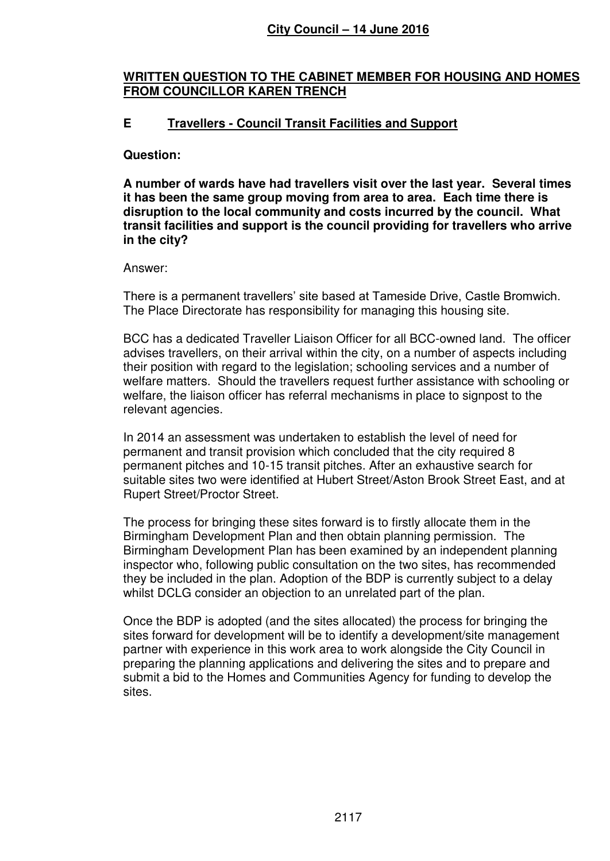### **WRITTEN QUESTION TO THE CABINET MEMBER FOR HOUSING AND HOMES FROM COUNCILLOR KAREN TRENCH**

# **E Travellers - Council Transit Facilities and Support**

### **Question:**

**A number of wards have had travellers visit over the last year. Several times it has been the same group moving from area to area. Each time there is disruption to the local community and costs incurred by the council. What transit facilities and support is the council providing for travellers who arrive in the city?** 

### Answer:

There is a permanent travellers' site based at Tameside Drive, Castle Bromwich. The Place Directorate has responsibility for managing this housing site.

BCC has a dedicated Traveller Liaison Officer for all BCC-owned land. The officer advises travellers, on their arrival within the city, on a number of aspects including their position with regard to the legislation; schooling services and a number of welfare matters. Should the travellers request further assistance with schooling or welfare, the liaison officer has referral mechanisms in place to signpost to the relevant agencies.

In 2014 an assessment was undertaken to establish the level of need for permanent and transit provision which concluded that the city required 8 permanent pitches and 10-15 transit pitches. After an exhaustive search for suitable sites two were identified at Hubert Street/Aston Brook Street East, and at Rupert Street/Proctor Street.

The process for bringing these sites forward is to firstly allocate them in the Birmingham Development Plan and then obtain planning permission. The Birmingham Development Plan has been examined by an independent planning inspector who, following public consultation on the two sites, has recommended they be included in the plan. Adoption of the BDP is currently subject to a delay whilst DCLG consider an objection to an unrelated part of the plan.

Once the BDP is adopted (and the sites allocated) the process for bringing the sites forward for development will be to identify a development/site management partner with experience in this work area to work alongside the City Council in preparing the planning applications and delivering the sites and to prepare and submit a bid to the Homes and Communities Agency for funding to develop the sites.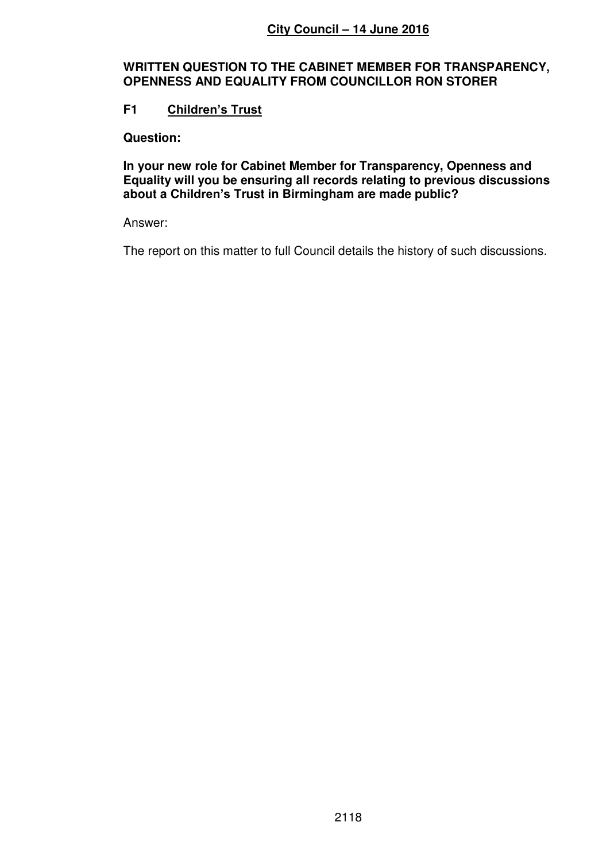# **WRITTEN QUESTION TO THE CABINET MEMBER FOR TRANSPARENCY, OPENNESS AND EQUALITY FROM COUNCILLOR RON STORER**

# **F1 Children's Trust**

**Question:** 

**In your new role for Cabinet Member for Transparency, Openness and Equality will you be ensuring all records relating to previous discussions about a Children's Trust in Birmingham are made public?** 

### Answer:

The report on this matter to full Council details the history of such discussions.